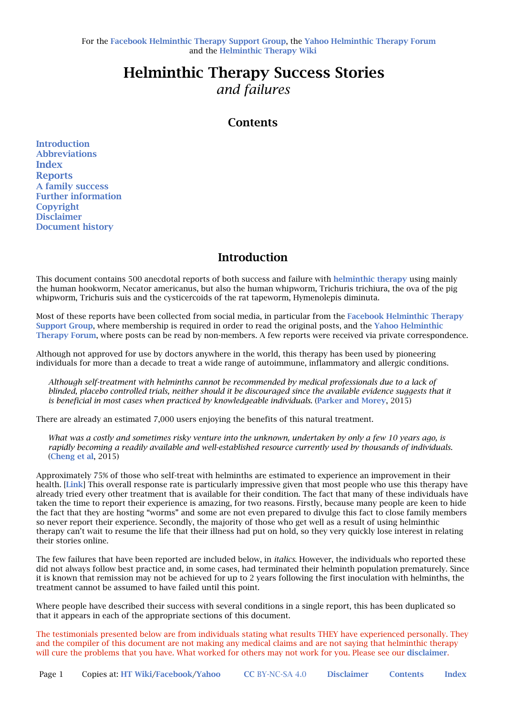# Helminthic Therapy Success Stories *and failures*

## **Contents**

**Introduction** Abbreviations Index **Reports** A family success Further information **Copyright** Disclaimer Document history

## **Introduction**

This document contains 500 anecdotal reports of both success and failure with helminthic therapy using mainly the human hookworm, Necator americanus, but also the human whipworm, Trichuris trichiura, the ova of the pig whipworm, Trichuris suis and the cysticercoids of the rat tapeworm, Hymenolepis diminuta.

Most of these reports have been collected from social media, in particular from the Facebook Helminthic Therapy Support Group, where membership is required in order to read the original posts, and the Yahoo Helminthic Therapy Forum, where posts can be read by non-members. A few reports were received via private correspondence.

Although not approved for use by doctors anywhere in the world, this therapy has been used by pioneering individuals for more than a decade to treat a wide range of autoimmune, inflammatory and allergic conditions.

*Although self-treatment with helminths cannot be recommended by medical professionals due to a lack of*  blinded, placebo controlled trials, neither should it be discouraged since the available evidence suggests that it *is beneficial in most cases when practiced by knowledgeable individuals.* (Parker and Morey, 2015)

There are already an estimated 7,000 users enjoying the benefits of this natural treatment.

*What was a costly and sometimes risky venture into the unknown, undertaken by only a few 10 years ago, is rapidly becoming a readily available and well-established resource currently used by thousands of individuals.* (Cheng et al, 2015)

Approximately 75% of those who self-treat with helminths are estimated to experience an improvement in their health. [Link] This overall response rate is particularly impressive given that most people who use this therapy have already tried every other treatment that is available for their condition. The fact that many of these individuals have taken the time to report their experience is amazing, for two reasons. Firstly, because many people are keen to hide the fact that they are hosting "worms" and some are not even prepared to divulge this fact to close family members so never report their experience. Secondly, the majority of those who get well as a result of using helminthic therapy can't wait to resume the life that their illness had put on hold, so they very quickly lose interest in relating their stories online.

The few failures that have been reported are included below, in *italics*. However, the individuals who reported these did not always follow best practice and, in some cases, had terminated their helminth population prematurely. Since it is known that remission may not be achieved for up to 2 years following the first inoculation with helminths, the treatment cannot be assumed to have failed until this point.

Where people have described their success with several conditions in a single report, this has been duplicated so that it appears in each of the appropriate sections of this document.

The testimonials presented below are from individuals stating what results THEY have experienced personally. They and the compiler of this document are not making any medical claims and are not saying that helminthic therapy will cure the problems that you have. What worked for others may not work for you. Please see our disclaimer.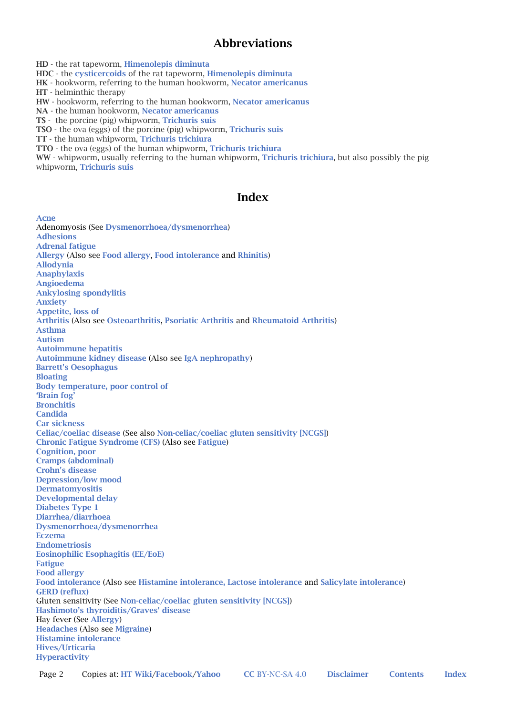## **Abbreviations**

HD - the rat tapeworm, Himenolepis diminuta

HDC - the cysticercoids of the rat tapeworm, Himenolepis diminuta

HK - hookworm, referring to the human hookworm, Necator americanus

HT - helminthic therapy

HW - hookworm, referring to the human hookworm, Necator americanus

NA - the human hookworm, Necator americanus

TS - the porcine (pig) whipworm, Trichuris suis

TSO - the ova (eggs) of the porcine (pig) whipworm, Trichuris suis

TT - the human whipworm, Trichuris trichiura

TTO - the ova (eggs) of the human whipworm, Trichuris trichiura

WW - whipworm, usually referring to the human whipworm, Trichuris trichiura, but also possibly the pig whipworm, Trichuris suis

### Index

Acne Adenomyosis (See Dysmenorrhoea/dysmenorrhea) Adhesions Adrenal fatigue Allergy (Also see Food allergy, Food intolerance and Rhinitis) Allodynia Anaphylaxis Angioedema Ankylosing spondylitis Anxiety Appetite, loss of Arthritis (Also see Osteoarthritis, Psoriatic Arthritis and Rheumatoid Arthritis) Asthma Autism Autoimmune hepatitis Autoimmune kidney disease (Also see IgA nephropathy) Barrett's Oesophagus Bloating Body temperature, poor control of 'Brain fog' Bronchitis Candida Car sickness Celiac/coeliac disease (See also Non-celiac/coeliac gluten sensitivity [NCGS]) Chronic Fatigue Syndrome (CFS) (Also see Fatigue) Cognition, poor Cramps (abdominal) Crohn's disease Depression/low mood Dermatomyositis Developmental delay Diabetes Type 1 Diarrhea/diarrhoea Dysmenorrhoea/dysmenorrhea Eczema Endometriosis Eosinophilic Esophagitis (EE/EoE) Fatigue Food allergy Food intolerance (Also see Histamine intolerance, Lactose intolerance and Salicylate intolerance) GERD (reflux) Gluten sensitivity (See Non-celiac/coeliac gluten sensitivity [NCGS]) Hashimoto's thyroiditis/Graves' disease Hay fever (See Allergy) Headaches (Also see Migraine) Histamine intolerance Hives/Urticaria Hyperactivity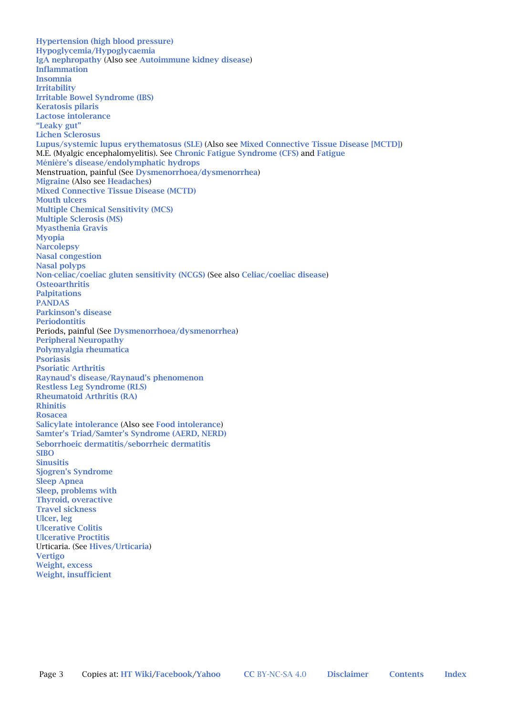Hypertension (high blood pressure) Hypoglycemia/Hypoglycaemia IgA nephropathy (Also see Autoimmune kidney disease) Inflammation Insomnia Irritability Irritable Bowel Syndrome (IBS) Keratosis pilaris Lactose intolerance "Leaky gut" Lichen Sclerosus Lupus/systemic lupus erythematosus (SLE) (Also see Mixed Connective Tissue Disease [MCTD]) M.E. (Myalgic encephalomyelitis). See Chronic Fatigue Syndrome (CFS) and Fatigue Ménière's disease/endolymphatic hydrops Menstruation, painful (See Dysmenorrhoea/dysmenorrhea) Migraine (Also see Headaches) Mixed Connective Tissue Disease (MCTD) Mouth ulcers Multiple Chemical Sensitivity (MCS) Multiple Sclerosis (MS) Myasthenia Gravis Myopia **Narcolepsy** Nasal congestion Nasal polyps Non-celiac/coeliac gluten sensitivity (NCGS) (See also Celiac/coeliac disease) **Osteoarthritis** Palpitations PANDAS Parkinson's disease Periodontitis Periods, painful (See Dysmenorrhoea/dysmenorrhea) Peripheral Neuropathy Polymyalgia rheumatica Psoriasis Psoriatic Arthritis Raynaud's disease/Raynaud's phenomenon Restless Leg Syndrome (RLS) Rheumatoid Arthritis (RA) Rhinitis Rosacea Salicylate intolerance (Also see Food intolerance) Samter's Triad/Samter's Syndrome (AERD, NERD) Seborrhoeic dermatitis/seborrheic dermatitis **SIRO** Sinusitis Sjogren's Syndrome Sleep Apnea Sleep, problems with Thyroid, overactive Travel sickness Ulcer, leg Ulcerative Colitis Ulcerative Proctitis Urticaria. (See Hives/Urticaria) Vertigo Weight, excess Weight, insufficient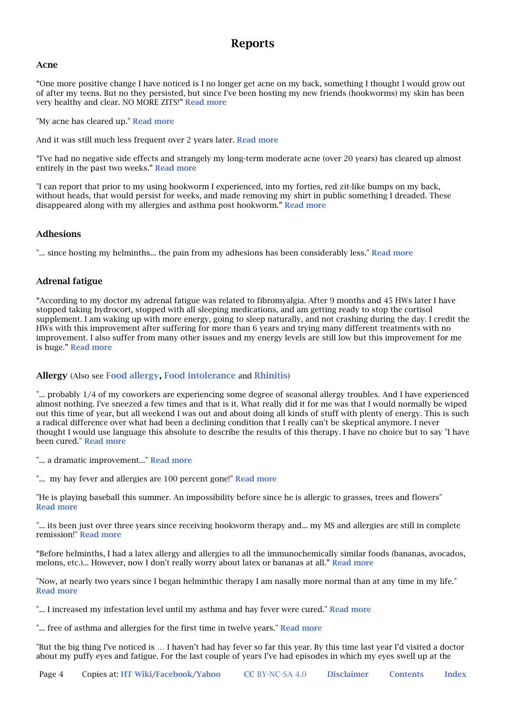## Reports

#### Acne

"One more positive change I have noticed is I no longer get acne on my back, something I thought I would grow out of after my teens. But no they persisted, but since I've been hosting my new friends (hookworms) my skin has been very healthy and clear. NO MORE ZITS!" Read more

"My acne has cleared up." **Read more** 

And it was still much less frequent over 2 years later. Read more

"I've had no negative side effects and strangely my long-term moderate acne (over 20 years) has cleared up almost entirely in the past two weeks." Read more

"I can report that prior to my using hookworm I experienced, into my forties, red zit-like bumps on my back, without heads, that would persist for weeks, and made removing my shirt in public something I dreaded. These disappeared along with my allergies and asthma post hookworm." Read more

### Adhesions

"... since hosting my helminths... the pain from my adhesions has been considerably less." Read more

### Adrenal fatigue

"According to my doctor my adrenal fatigue was related to fibromyalgia. After 9 months and 45 HWs later I have stopped taking hydrocort, stopped with all sleeping medications, and am getting ready to stop the cortisol supplement. I am waking up with more energy, going to sleep naturally, and not crashing during the day. I credit the HWs with this improvement after suffering for more than 6 years and trying many different treatments with no improvement. I also suffer from many other issues and my energy levels are still low but this improvement for me is huge." Read more

### Allergy (Also see Food allergy, Food intolerance and Rhinitis)

"... probably 1/4 of my coworkers are experiencing some degree of seasonal allergy troubles. And I have experienced almost nothing. I've sneezed a few times and that is it. What really did it for me was that I would normally be wiped out this time of year, but all weekend I was out and about doing all kinds of stuff with plenty of energy. This is such a radical difference over what had been a declining condition that I really can't be skeptical anymore. I never thought I would use language this absolute to describe the results of this therapy. I have no choice but to say "I have been cured." Read more

"... a dramatic improvement..." Read more

"... my hay fever and allergies are 100 percent gone!" **Read more** 

"He is playing baseball this summer. An impossibility before since he is allergic to grasses, trees and flowers" Read more

"... its been just over three years since receiving hookworm therapy and... my MS and allergies are still in complete remission!" Read more

"Before helminths, I had a latex allergy and allergies to all the immunochemically similar foods (bananas, avocados, melons, etc.)... However, now I don't really worry about latex or bananas at all." Read more

"Now, at nearly two years since I began helminthic therapy I am nasally more normal than at any time in my life." Read more

"... I increased my infestation level until my asthma and hay fever were cured." Read more

"... free of asthma and allergies for the first time in twelve years." **Read more** 

"But the big thing I've noticed is … I haven't had hay fever so far this year. By this time last year I'd visited a doctor about my puffy eyes and fatigue. For the last couple of years I've had episodes in which my eyes swell up at the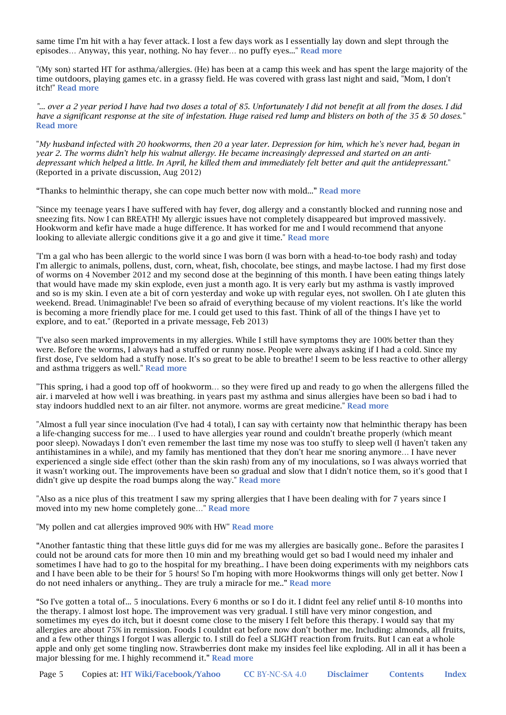same time I'm hit with a hay fever attack. I lost a few days work as I essentially lay down and slept through the episodes… Anyway, this year, nothing. No hay fever… no puffy eyes..." Read more

"(My son) started HT for asthma/allergies. (He) has been at a camp this week and has spent the large majority of the time outdoors, playing games etc. in a grassy field. He was covered with grass last night and said, "Mom, I don't itch!" Read more

*"... over a 2 year period I have had two doses a total of 85. Unfortunately I did not benefit at all from the doses. I did have a significant response at the site of infestation. Huge raised red lump and blisters on both of the 35 & 50 doses."* Read more

"*My husband infected with 20 hookworms, then 20 a year later. Depression for him, which he's never had, began in year 2. The worms didn't help his walnut allergy. He became increasingly depressed and started on an antidepressant which helped a little. In April, he killed them and immediately felt better and quit the antidepressant.*" (Reported in a private discussion, Aug 2012)

"Thanks to helminthic therapy, she can cope much better now with mold..." Read more

"Since my teenage years I have suffered with hay fever, dog allergy and a constantly blocked and running nose and sneezing fits. Now I can BREATH! My allergic issues have not completely disappeared but improved massively. Hookworm and kefir have made a huge difference. It has worked for me and I would recommend that anyone looking to alleviate allergic conditions give it a go and give it time." Read more

"I'm a gal who has been allergic to the world since I was born (I was born with a head-to-toe body rash) and today I'm allergic to animals, pollens, dust, corn, wheat, fish, chocolate, bee stings, and maybe lactose. I had my first dose of worms on 4 November 2012 and my second dose at the beginning of this month. I have been eating things lately that would have made my skin explode, even just a month ago. It is very early but my asthma is vastly improved and so is my skin. I even ate a bit of corn yesterday and woke up with regular eyes, not swollen. Oh I ate gluten this weekend. Bread. Unimaginable! I've been so afraid of everything because of my violent reactions. It's like the world is becoming a more friendly place for me. I could get used to this fast. Think of all of the things I have yet to explore, and to eat." (Reported in a private message, Feb 2013)

"I've also seen marked improvements in my allergies. While I still have symptoms they are 100% better than they were. Before the worms, I always had a stuffed or runny nose. People were always asking if I had a cold. Since my first dose, I've seldom had a stuffy nose. It's so great to be able to breathe! I seem to be less reactive to other allergy and asthma triggers as well." Read more

"This spring, i had a good top off of hookworm… so they were fired up and ready to go when the allergens filled the air. i marveled at how well i was breathing. in years past my asthma and sinus allergies have been so bad i had to stay indoors huddled next to an air filter. not anymore. worms are great medicine." Read more

"Almost a full year since inoculation (I've had 4 total), I can say with certainty now that helminthic therapy has been a life-changing success for me… I used to have allergies year round and couldn't breathe properly (which meant poor sleep). Nowadays I don't even remember the last time my nose was too stuffy to sleep well (I haven't taken any antihistamines in a while), and my family has mentioned that they don't hear me snoring anymore… I have never experienced a single side effect (other than the skin rash) from any of my inoculations, so I was always worried that it wasn't working out. The improvements have been so gradual and slow that I didn't notice them, so it's good that I didn't give up despite the road bumps along the way." Read more

"Also as a nice plus of this treatment I saw my spring allergies that I have been dealing with for 7 years since I moved into my new home completely gone…" Read more

"My pollen and cat allergies improved 90% with HW" Read more

"Another fantastic thing that these little guys did for me was my allergies are basically gone.. Before the parasites I could not be around cats for more then 10 min and my breathing would get so bad I would need my inhaler and sometimes I have had to go to the hospital for my breathing.. I have been doing experiments with my neighbors cats and I have been able to be their for 5 hours! So I'm hoping with more Hookworms things will only get better. Now I do not need inhalers or anything.. They are truly a miracle for me.." Read more

"So I've gotten a total of... 5 inoculations. Every 6 months or so I do it. I didnt feel any relief until 8-10 months into the therapy. I almost lost hope. The improvement was very gradual. I still have very minor congestion, and sometimes my eyes do itch, but it doesnt come close to the misery I felt before this therapy. I would say that my allergies are about 75% in remission. Foods I couldnt eat before now don't bother me. Including: almonds, all fruits, and a few other things I forgot I was allergic to. I still do feel a SLIGHT reaction from fruits. But I can eat a whole apple and only get some tingling now. Strawberries dont make my insides feel like exploding. All in all it has been a major blessing for me. I highly recommend it." Read more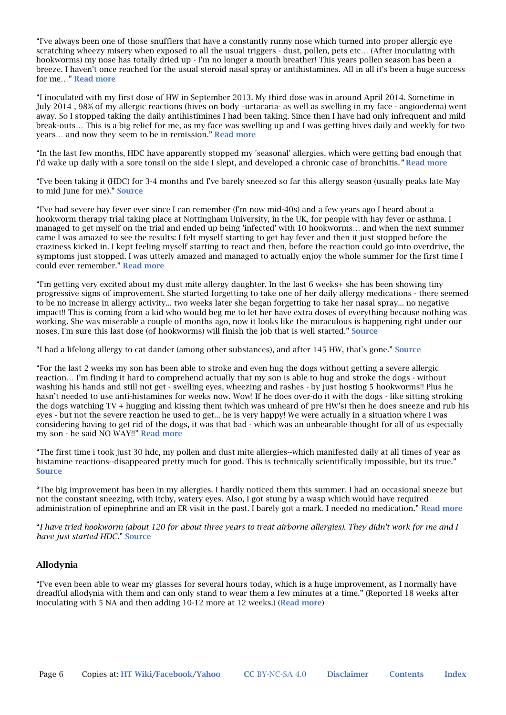"I've always been one of those snufflers that have a constantly runny nose which turned into proper allergic eye scratching wheezy misery when exposed to all the usual triggers - dust, pollen, pets etc… (After inoculating with hookworms) my nose has totally dried up - I'm no longer a mouth breather! This years pollen season has been a breeze. I haven't once reached for the usual steroid nasal spray or antihistamines. All in all it's been a huge success for me…" Read more

"I inoculated with my first dose of HW in September 2013. My third dose was in around April 2014. Sometime in July 2014 , 98% of my allergic reactions (hives on body –urtacaria- as well as swelling in my face - angioedema) went away. So I stopped taking the daily antihistimines I had been taking. Since then I have had only infrequent and mild break-outs… This is a big relief for me, as my face was swelling up and I was getting hives daily and weekly for two years… and now they seem to be in remission." Read more

"In the last few months, HDC have apparently stopped my 'seasonal' allergies, which were getting bad enough that I'd wake up daily with a sore tonsil on the side I slept, and developed a chronic case of bronchitis.*"* Read more

"I've been taking it (HDC) for 3-4 months and I've barely sneezed so far this allergy season (usually peaks late May to mid June for me)." Source

"I've had severe hay fever ever since I can remember (I'm now mid-40s) and a few years ago I heard about a hookworm therapy trial taking place at Nottingham University, in the UK, for people with hay fever or asthma. I managed to get myself on the trial and ended up being 'infected' with 10 hookworms… and when the next summer came I was amazed to see the results: I felt myself starting to get hay fever and then it just stopped before the craziness kicked in. I kept feeling myself starting to react and then, before the reaction could go into overdrive, the symptoms just stopped. I was utterly amazed and managed to actually enjoy the whole summer for the first time I could ever remember." Read more

"I'm getting very excited about my dust mite allergy daughter. In the last 6 weeks+ she has been showing tiny progressive signs of improvement. She started forgetting to take one of her daily allergy medications - there seemed to be no increase in allergy activity... two weeks later she began forgetting to take her nasal spray... no negative impact!! This is coming from a kid who would beg me to let her have extra doses of everything because nothing was working. She was miserable a couple of months ago, now it looks like the miraculous is happening right under our noses. I'm sure this last dose (of hookworms) will finish the job that is well started." Source

"I had a lifelong allergy to cat dander (among other substances), and after 145 HW, that's gone." Source

"For the last 2 weeks my son has been able to stroke and even hug the dogs without getting a severe allergic reaction… I'm finding it hard to comprehend actually that my son is able to hug and stroke the dogs - without washing his hands and still not get - swelling eyes, wheezing and rashes - by just hosting 5 hookworms!! Plus he hasn't needed to use anti-histamines for weeks now. Wow! If he does over-do it with the dogs - like sitting stroking the dogs watching TV + hugging and kissing them (which was unheard of pre HW's) then he does sneeze and rub his eyes - but not the severe reaction he used to get... he is very happy! We were actually in a situation where I was considering having to get rid of the dogs, it was that bad - which was an unbearable thought for all of us especially my son - he said NO WAY!!" Read more

"The first time i took just 30 hdc, my pollen and dust mite allergies--which manifested daily at all times of year as histamine reactions--disappeared pretty much for good. This is technically scientifically impossible, but its true." Source

"The big improvement has been in my allergies. I hardly noticed them this summer. I had an occasional sneeze but not the constant sneezing, with itchy, watery eyes. Also, I got stung by a wasp which would have required administration of epinephrine and an ER visit in the past. I barely got a mark. I needed no medication." Read more

"*I have tried hookworm (about 120 for about three years to treat airborne allergies). They didn't work for me and I have just started HDC.*" Source

### Allodynia

"I've even been able to wear my glasses for several hours today, which is a huge improvement, as I normally have dreadful allodynia with them and can only stand to wear them a few minutes at a time." (Reported 18 weeks after inoculating with 5 NA and then adding 10-12 more at 12 weeks.) (Read more)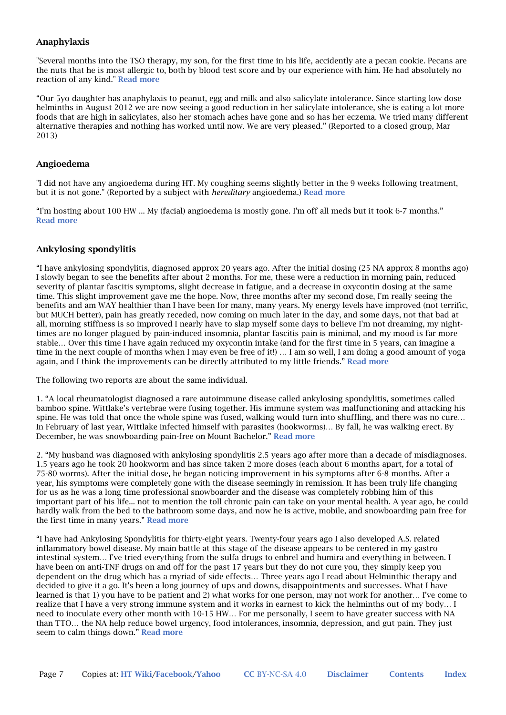### Anaphylaxis

"Several months into the TSO therapy, my son, for the first time in his life, accidently ate a pecan cookie. Pecans are the nuts that he is most allergic to, both by blood test score and by our experience with him. He had absolutely no reaction of any kind." Read more

"Our 5yo daughter has anaphylaxis to peanut, egg and milk and also salicylate intolerance. Since starting low dose helminths in August 2012 we are now seeing a good reduction in her salicylate intolerance, she is eating a lot more foods that are high in salicylates, also her stomach aches have gone and so has her eczema. We tried many different alternative therapies and nothing has worked until now. We are very pleased." (Reported to a closed group, Mar 2013)

### Angioedema

"I did not have any angioedema during HT. My coughing seems slightly better in the 9 weeks following treatment, but it is not gone." (Reported by a subject with *hereditary* angioedema.) Read more

"I'm hosting about 100 HW ... My (facial) angioedema is mostly gone. I'm off all meds but it took 6-7 months." Read more

### Ankylosing spondylitis

"I have ankylosing spondylitis, diagnosed approx 20 years ago. After the initial dosing (25 NA approx 8 months ago) I slowly began to see the benefits after about 2 months. For me, these were a reduction in morning pain, reduced severity of plantar fascitis symptoms, slight decrease in fatigue, and a decrease in oxycontin dosing at the same time. This slight improvement gave me the hope. Now, three months after my second dose, I'm really seeing the benefits and am WAY healthier than I have been for many, many years. My energy levels have improved (not terrific, but MUCH better), pain has greatly receded, now coming on much later in the day, and some days, not that bad at all, morning stiffness is so improved I nearly have to slap myself some days to believe I'm not dreaming, my nighttimes are no longer plagued by pain-induced insomnia, plantar fascitis pain is minimal, and my mood is far more stable… Over this time I have again reduced my oxycontin intake (and for the first time in 5 years, can imagine a time in the next couple of months when I may even be free of it!) … I am so well, I am doing a good amount of yoga again, and I think the improvements can be directly attributed to my little friends." Read more

The following two reports are about the same individual.

1. "A local rheumatologist diagnosed a rare autoimmune disease called ankylosing spondylitis, sometimes called bamboo spine. Wittlake's vertebrae were fusing together. His immune system was malfunctioning and attacking his spine. He was told that once the whole spine was fused, walking would turn into shuffling, and there was no cure… In February of last year, Wittlake infected himself with parasites (hookworms)… By fall, he was walking erect. By December, he was snowboarding pain-free on Mount Bachelor." Read more

2. "My husband was diagnosed with ankylosing spondylitis 2.5 years ago after more than a decade of misdiagnoses. 1.5 years ago he took 20 hookworm and has since taken 2 more doses (each about 6 months apart, for a total of 75-80 worms). After the initial dose, he began noticing improvement in his symptoms after 6-8 months. After a year, his symptoms were completely gone with the disease seemingly in remission. It has been truly life changing for us as he was a long time professional snowboarder and the disease was completely robbing him of this important part of his life... not to mention the toll chronic pain can take on your mental health. A year ago, he could hardly walk from the bed to the bathroom some days, and now he is active, mobile, and snowboarding pain free for the first time in many years." Read more

"I have had Ankylosing Spondylitis for thirty-eight years. Twenty-four years ago I also developed A.S. related inflammatory bowel disease. My main battle at this stage of the disease appears to be centered in my gastro intestinal system… I've tried everything from the sulfa drugs to enbrel and humira and everything in between. I have been on anti-TNF drugs on and off for the past 17 years but they do not cure you, they simply keep you dependent on the drug which has a myriad of side effects… Three years ago I read about Helminthic therapy and decided to give it a go. It's been a long journey of ups and downs, disappointments and successes. What I have learned is that 1) you have to be patient and 2) what works for one person, may not work for another… I've come to realize that I have a very strong immune system and it works in earnest to kick the helminths out of my body… I need to inoculate every other month with 10-15 HW… For me personally, I seem to have greater success with NA than TTO… the NA help reduce bowel urgency, food intolerances, insomnia, depression, and gut pain. They just seem to calm things down." Read more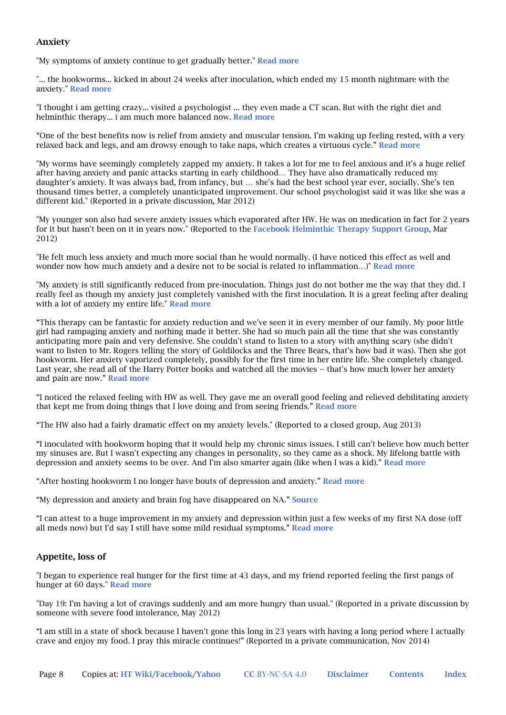### Anxiety

"My symptoms of anxiety continue to get gradually better." Read more

"... the hookworms... kicked in about 24 weeks after inoculation, which ended my 15 month nightmare with the anxiety." Read more

"I thought i am getting crazy... visited a psychologist ... they even made a CT scan. But with the right diet and helminthic therapy... i am much more balanced now. **Read more** 

"One of the best benefits now is relief from anxiety and muscular tension. I'm waking up feeling rested, with a very relaxed back and legs, and am drowsy enough to take naps, which creates a virtuous cycle." Read more

"My worms have seemingly completely zapped my anxiety. It takes a lot for me to feel anxious and it's a huge relief after having anxiety and panic attacks starting in early childhood… They have also dramatically reduced my daughter's anxiety. It was always bad, from infancy, but … she's had the best school year ever, socially. She's ten thousand times better, a completely unanticipated improvement. Our school psychologist said it was like she was a different kid." (Reported in a private discussion, Mar 2012)

"My younger son also had severe anxiety issues which evaporated after HW. He was on medication in fact for 2 years for it but hasn't been on it in years now." (Reported to the Facebook Helminthic Therapy Support Group, Mar 2012)

"He felt much less anxiety and much more social than he would normally. (I have noticed this effect as well and wonder now how much anxiety and a desire not to be social is related to inflammation...)" Read more

"My anxiety is still significantly reduced from pre-inoculation. Things just do not bother me the way that they did. I really feel as though my anxiety just completely vanished with the first inoculation. It is a great feeling after dealing with a lot of anxiety my entire life." Read more

"This therapy can be fantastic for anxiety reduction and we've seen it in every member of our family. My poor little girl had rampaging anxiety and nothing made it better. She had so much pain all the time that she was constantly anticipating more pain and very defensive. She couldn't stand to listen to a story with anything scary (she didn't want to listen to Mr. Rogers telling the story of Goldilocks and the Three Bears, that's how bad it was). Then she got hookworm. Her anxiety vaporized completely, possibly for the first time in her entire life. She completely changed. Last year, she read all of the Harry Potter books and watched all the movies -- that's how much lower her anxiety and pain are now." Read more

"I noticed the relaxed feeling with HW as well. They gave me an overall good feeling and relieved debilitating anxiety that kept me from doing things that I love doing and from seeing friends." Read more

"The HW also had a fairly dramatic effect on my anxiety levels." (Reported to a closed group, Aug 2013)

"I inoculated with hookworm hoping that it would help my chronic sinus issues. I still can't believe how much better my sinuses are. But I wasn't expecting any changes in personality, so they came as a shock. My lifelong battle with depression and anxiety seems to be over. And I'm also smarter again (like when I was a kid)." Read more

"After hosting hookworm I no longer have bouts of depression and anxiety." Read more

"My depression and anxiety and brain fog have disappeared on NA." Source

"I can attest to a huge improvement in my anxiety and depression within just a few weeks of my first NA dose (off all meds now) but I'd say I still have some mild residual symptoms." Read more

### Appetite, loss of

"I began to experience real hunger for the first time at 43 days, and my friend reported feeling the first pangs of hunger at 60 days." Read more

"Day 19: I'm having a lot of cravings suddenly and am more hungry than usual." (Reported in a private discussion by someone with severe food intolerance, May 2012)

"I am still in a state of shock because I haven't gone this long in 23 years with having a long period where I actually crave and enjoy my food. I pray this miracle continues!" (Reported in a private communication, Nov 2014)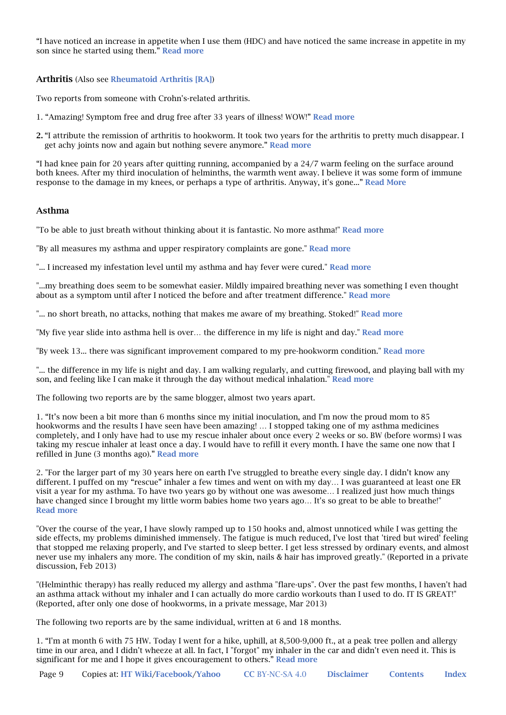"I have noticed an increase in appetite when I use them (HDC) and have noticed the same increase in appetite in my son since he started using them." Read more

Arthritis (Also see Rheumatoid Arthritis [RA])

Two reports from someone with Crohn's-related arthritis.

- 1. "Amazing! Symptom free and drug free after 33 years of illness! WOW!" Read more
- 2. "I attribute the remission of arthritis to hookworm. It took two years for the arthritis to pretty much disappear. I get achy joints now and again but nothing severe anymore." Read more

"I had knee pain for 20 years after quitting running, accompanied by a 24/7 warm feeling on the surface around both knees. After my third inoculation of helminths, the warmth went away. I believe it was some form of immune response to the damage in my knees, or perhaps a type of arthritis. Anyway, it's gone..." Read More

### Asthma

"To be able to just breath without thinking about it is fantastic. No more asthma!" Read more

"By all measures my asthma and upper respiratory complaints are gone." Read more

"... I increased my infestation level until my asthma and hay fever were cured." Read more

"...my breathing does seem to be somewhat easier. Mildly impaired breathing never was something I even thought about as a symptom until after I noticed the before and after treatment difference." Read more

"... no short breath, no attacks, nothing that makes me aware of my breathing. Stoked!" Read more

"My five year slide into asthma hell is over… the difference in my life is night and day." Read more

"By week 13... there was significant improvement compared to my pre-hookworm condition." Read more

"... the difference in my life is night and day. I am walking regularly, and cutting firewood, and playing ball with my son, and feeling like I can make it through the day without medical inhalation." Read more

The following two reports are by the same blogger, almost two years apart.

1. "It's now been a bit more than 6 months since my initial inoculation, and I'm now the proud mom to 85 hookworms and the results I have seen have been amazing! … I stopped taking one of my asthma medicines completely, and I only have had to use my rescue inhaler about once every 2 weeks or so. BW (before worms) I was taking my rescue inhaler at least once a day. I would have to refill it every month. I have the same one now that I refilled in June (3 months ago)." Read more

2. "For the larger part of my 30 years here on earth I've struggled to breathe every single day. I didn't know any different. I puffed on my "rescue" inhaler a few times and went on with my day… I was guaranteed at least one ER visit a year for my asthma. To have two years go by without one was awesome… I realized just how much things have changed since I brought my little worm babies home two years ago… It's so great to be able to breathe!" Read more

"Over the course of the year, I have slowly ramped up to 150 hooks and, almost unnoticed while I was getting the side effects, my problems diminished immensely. The fatigue is much reduced, I've lost that 'tired but wired' feeling that stopped me relaxing properly, and I've started to sleep better. I get less stressed by ordinary events, and almost never use my inhalers any more. The condition of my skin, nails & hair has improved greatly." (Reported in a private discussion, Feb 2013)

"(Helminthic therapy) has really reduced my allergy and asthma "flare-ups". Over the past few months, I haven't had an asthma attack without my inhaler and I can actually do more cardio workouts than I used to do. IT IS GREAT!" (Reported, after only one dose of hookworms, in a private message, Mar 2013)

The following two reports are by the same individual, written at 6 and 18 months.

1. "I'm at month 6 with 75 HW. Today I went for a hike, uphill, at 8,500-9,000 ft., at a peak tree pollen and allergy time in our area, and I didn't wheeze at all. In fact, I "forgot" my inhaler in the car and didn't even need it. This is significant for me and I hope it gives encouragement to others." Read more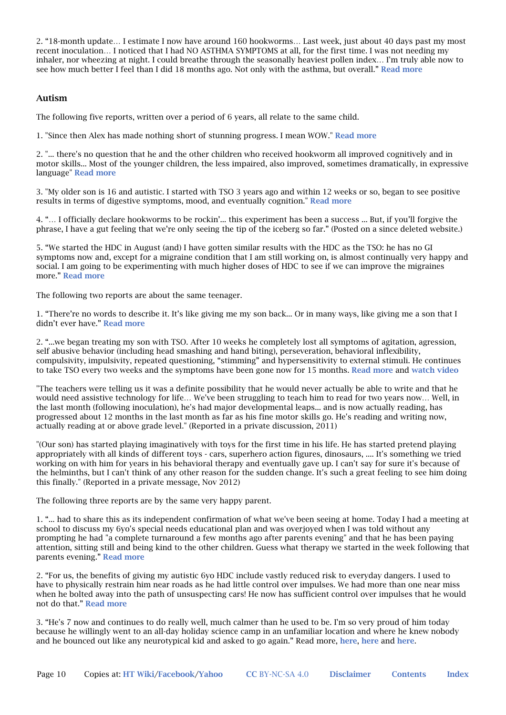2. "18-month update… I estimate I now have around 160 hookworms… Last week, just about 40 days past my most recent inoculation… I noticed that I had NO ASTHMA SYMPTOMS at all, for the first time. I was not needing my inhaler, nor wheezing at night. I could breathe through the seasonally heaviest pollen index… I'm truly able now to see how much better I feel than I did 18 months ago. Not only with the asthma, but overall." Read more

### Autism

The following five reports, written over a period of 6 years, all relate to the same child.

1. "Since then Alex has made nothing short of stunning progress. I mean WOW." Read more

2. "... there's no question that he and the other children who received hookworm all improved cognitively and in motor skills... Most of the younger children, the less impaired, also improved, sometimes dramatically, in expressive language" Read more

3. "My older son is 16 and autistic. I started with TSO 3 years ago and within 12 weeks or so, began to see positive results in terms of digestive symptoms, mood, and eventually cognition." Read more

4. "… I officially declare hookworms to be rockin'... this experiment has been a success ... But, if you'll forgive the phrase, I have a gut feeling that we're only seeing the tip of the iceberg so far." (Posted on a since deleted website.)

5. "We started the HDC in August (and) I have gotten similar results with the HDC as the TSO: he has no GI symptoms now and, except for a migraine condition that I am still working on, is almost continually very happy and social. I am going to be experimenting with much higher doses of HDC to see if we can improve the migraines more." Read more

The following two reports are about the same teenager.

1. "There're no words to describe it. It's like giving me my son back... Or in many ways, like giving me a son that I didn't ever have." Read more

2. "...we began treating my son with TSO. After 10 weeks he completely lost all symptoms of agitation, agression, self abusive behavior (including head smashing and hand biting), perseveration, behavioral inflexibility, compulsivity, impulsivity, repeated questioning, "stimming" and hypersensitivity to external stimuli. He continues to take TSO every two weeks and the symptoms have been gone now for 15 months. Read more and watch video

"The teachers were telling us it was a definite possibility that he would never actually be able to write and that he would need assistive technology for life… We've been struggling to teach him to read for two years now… Well, in the last month (following inoculation), he's had major developmental leaps... and is now actually reading, has progressed about 12 months in the last month as far as his fine motor skills go. He's reading and writing now, actually reading at or above grade level." (Reported in a private discussion, 2011)

"(Our son) has started playing imaginatively with toys for the first time in his life. He has started pretend playing appropriately with all kinds of different toys - cars, superhero action figures, dinosaurs, .... It's something we tried working on with him for years in his behavioral therapy and eventually gave up. I can't say for sure it's because of the helminths, but I can't think of any other reason for the sudden change. It's such a great feeling to see him doing this finally." (Reported in a private message, Nov 2012)

The following three reports are by the same very happy parent.

1. "... had to share this as its independent confirmation of what we've been seeing at home. Today I had a meeting at school to discuss my 6yo's special needs educational plan and was overjoyed when I was told without any prompting he had "a complete turnaround a few months ago after parents evening" and that he has been paying attention, sitting still and being kind to the other children. Guess what therapy we started in the week following that parents evening." Read more

2. "For us, the benefits of giving my autistic 6yo HDC include vastly reduced risk to everyday dangers. I used to have to physically restrain him near roads as he had little control over impulses. We had more than one near miss when he bolted away into the path of unsuspecting cars! He now has sufficient control over impulses that he would not do that." Read more

3. "He's 7 now and continues to do really well, much calmer than he used to be. I'm so very proud of him today because he willingly went to an all-day holiday science camp in an unfamiliar location and where he knew nobody and he bounced out like any neurotypical kid and asked to go again." Read more, here, here and here.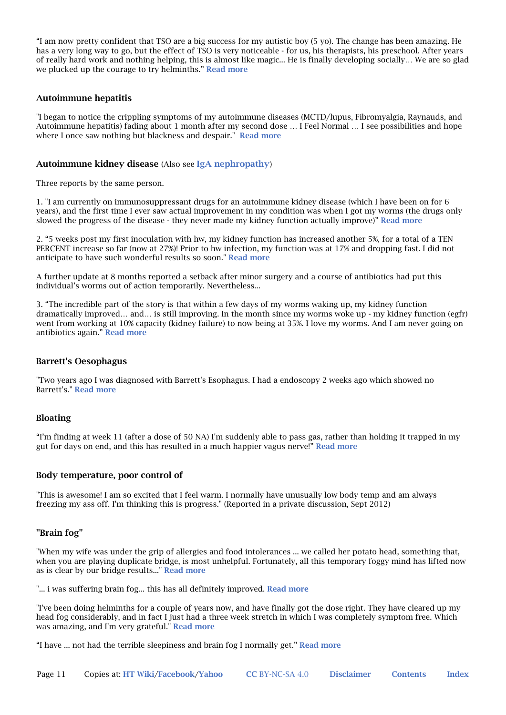"I am now pretty confident that TSO are a big success for my autistic boy (5 yo). The change has been amazing. He has a very long way to go, but the effect of TSO is very noticeable - for us, his therapists, his preschool. After years of really hard work and nothing helping, this is almost like magic... He is finally developing socially… We are so glad we plucked up the courage to try helminths." Read more

#### Autoimmune hepatitis

"I began to notice the crippling symptoms of my autoimmune diseases (MCTD/lupus, Fibromyalgia, Raynauds, and Autoimmune hepatitis) fading about 1 month after my second dose … I Feel Normal … I see possibilities and hope where I once saw nothing but blackness and despair." Read more

#### Autoimmune kidney disease (Also see IgA nephropathy)

Three reports by the same person.

1. "I am currently on immunosuppressant drugs for an autoimmune kidney disease (which I have been on for 6 years), and the first time I ever saw actual improvement in my condition was when I got my worms (the drugs only slowed the progress of the disease - they never made my kidney function actually improve)" Read more

2. "5 weeks post my first inoculation with hw, my kidney function has increased another 5%, for a total of a TEN PERCENT increase so far (now at 27%)! Prior to hw infection, my function was at 17% and dropping fast. I did not anticipate to have such wonderful results so soon." Read more

A further update at 8 months reported a setback after minor surgery and a course of antibiotics had put this individual's worms out of action temporarily. Nevertheless...

3. "The incredible part of the story is that within a few days of my worms waking up, my kidney function dramatically improved… and… is still improving. In the month since my worms woke up - my kidney function (egfr) went from working at 10% capacity (kidney failure) to now being at 35%. I love my worms. And I am never going on antibiotics again." Read more

#### Barrett's Oesophagus

"Two years ago I was diagnosed with Barrett's Esophagus. I had a endoscopy 2 weeks ago which showed no Barrett's." Read more

#### Bloating

"I'm finding at week 11 (after a dose of 50 NA) I'm suddenly able to pass gas, rather than holding it trapped in my gut for days on end, and this has resulted in a much happier vagus nerve!" Read more

#### Body temperature, poor control of

"This is awesome! I am so excited that I feel warm. I normally have unusually low body temp and am always freezing my ass off. I'm thinking this is progress." (Reported in a private discussion, Sept 2012)

#### "Brain fog"

"When my wife was under the grip of allergies and food intolerances ... we called her potato head, something that, when you are playing duplicate bridge, is most unhelpful. Fortunately, all this temporary foggy mind has lifted now as is clear by our bridge results..." Read more

"... i was suffering brain fog... this has all definitely improved. Read more

"I've been doing helminths for a couple of years now, and have finally got the dose right. They have cleared up my head fog considerably, and in fact I just had a three week stretch in which I was completely symptom free. Which was amazing, and I'm very grateful." Read more

"I have ... not had the terrible sleepiness and brain fog I normally get." Read more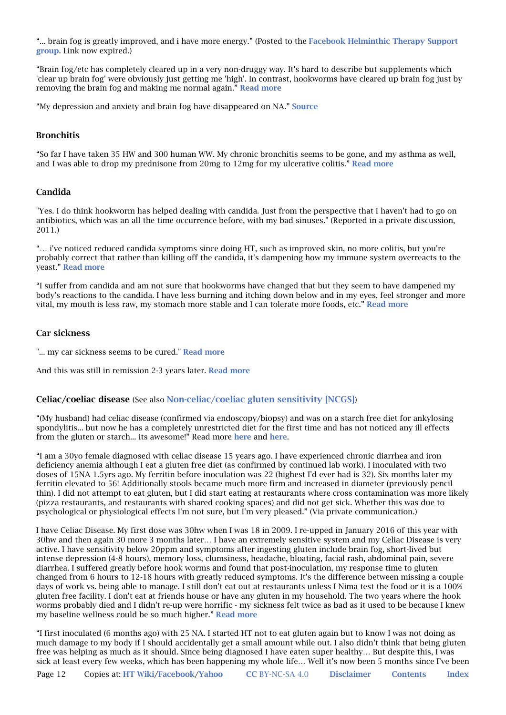"... brain fog is greatly improved, and i have more energy." (Posted to the Facebook Helminthic Therapy Support group. Link now expired.)

"Brain fog/etc has completely cleared up in a very non-druggy way. It's hard to describe but supplements which 'clear up brain fog' were obviously just getting me 'high'. In contrast, hookworms have cleared up brain fog just by removing the brain fog and making me normal again." Read more

"My depression and anxiety and brain fog have disappeared on NA." Source

#### Bronchitis

"So far I have taken 35 HW and 300 human WW. My chronic bronchitis seems to be gone, and my asthma as well, and I was able to drop my prednisone from 20mg to 12mg for my ulcerative colitis." Read more

#### Candida

"Yes. I do think hookworm has helped dealing with candida. Just from the perspective that I haven't had to go on antibiotics, which was an all the time occurrence before, with my bad sinuses." (Reported in a private discussion, 2011.)

"… i've noticed reduced candida symptoms since doing HT, such as improved skin, no more colitis, but you're probably correct that rather than killing off the candida, it's dampening how my immune system overreacts to the yeast." Read more

"I suffer from candida and am not sure that hookworms have changed that but they seem to have dampened my body's reactions to the candida. I have less burning and itching down below and in my eyes, feel stronger and more vital, my mouth is less raw, my stomach more stable and I can tolerate more foods, etc." Read more

#### Car sickness

"... my car sickness seems to be cured." Read more

And this was still in remission 2-3 years later. Read more

#### Celiac/coeliac disease (See also Non-celiac/coeliac gluten sensitivity [NCGS])

"(My husband) had celiac disease (confirmed via endoscopy/biopsy) and was on a starch free diet for ankylosing spondylitis... but now he has a completely unrestricted diet for the first time and has not noticed any ill effects from the gluten or starch... its awesome!" Read more here and here.

"I am a 30yo female diagnosed with celiac disease 15 years ago. I have experienced chronic diarrhea and iron deficiency anemia although I eat a gluten free diet (as confirmed by continued lab work). I inoculated with two doses of 15NA 1.5yrs ago. My ferritin before inoculation was 22 (highest I'd ever had is 32). Six months later my ferritin elevated to 56! Additionally stools became much more firm and increased in diameter (previously pencil thin). I did not attempt to eat gluten, but I did start eating at restaurants where cross contamination was more likely (pizza restaurants, and restaurants with shared cooking spaces) and did not get sick. Whether this was due to psychological or physiological effects I'm not sure, but I'm very pleased." (Via private communication.)

I have Celiac Disease. My first dose was 30hw when I was 18 in 2009. I re-upped in January 2016 of this year with 30hw and then again 30 more 3 months later… I have an extremely sensitive system and my Celiac Disease is very active. I have sensitivity below 20ppm and symptoms after ingesting gluten include brain fog, short-lived but intense depression (4-8 hours), memory loss, clumsiness, headache, bloating, facial rash, abdominal pain, severe diarrhea. I suffered greatly before hook worms and found that post-inoculation, my response time to gluten changed from 6 hours to 12-18 hours with greatly reduced symptoms. It's the difference between missing a couple days of work vs. being able to manage. I still don't eat out at restaurants unless I Nima test the food or it is a 100% gluten free facility. I don't eat at friends house or have any gluten in my household. The two years where the hook worms probably died and I didn't re-up were horrific - my sickness felt twice as bad as it used to be because I knew my baseline wellness could be so much higher." Read more

"I first inoculated (6 months ago) with 25 NA. I started HT not to eat gluten again but to know I was not doing as much damage to my body if I should accidentally get a small amount while out. I also didn't think that being gluten free was helping as much as it should. Since being diagnosed I have eaten super healthy… But despite this, I was sick at least every few weeks, which has been happening my whole life... Well it's now been 5 months since I've been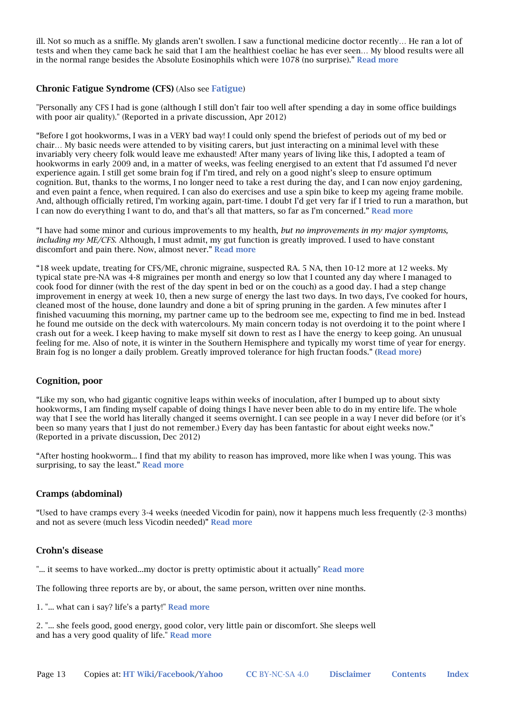ill. Not so much as a sniffle. My glands aren't swollen. I saw a functional medicine doctor recently… He ran a lot of tests and when they came back he said that I am the healthiest coeliac he has ever seen… My blood results were all in the normal range besides the Absolute Eosinophils which were 1078 (no surprise)." Read more

### Chronic Fatigue Syndrome (CFS) (Also see Fatigue)

"Personally any CFS I had is gone (although I still don't fair too well after spending a day in some office buildings with poor air quality)." (Reported in a private discussion, Apr 2012)

"Before I got hookworms, I was in a VERY bad way! I could only spend the briefest of periods out of my bed or chair… My basic needs were attended to by visiting carers, but just interacting on a minimal level with these invariably very cheery folk would leave me exhausted! After many years of living like this, I adopted a team of hookworms in early 2009 and, in a matter of weeks, was feeling energised to an extent that I'd assumed I'd never experience again. I still get some brain fog if I'm tired, and rely on a good night's sleep to ensure optimum cognition. But, thanks to the worms, I no longer need to take a rest during the day, and I can now enjoy gardening, and even paint a fence, when required. I can also do exercises and use a spin bike to keep my ageing frame mobile. And, although officially retired, I'm working again, part-time. I doubt I'd get very far if I tried to run a marathon, but I can now do everything I want to do, and that's all that matters, so far as I'm concerned." Read more

"I have had some minor and curious improvements to my health, *but no improvements in my major symptoms, including my ME/CFS*. Although, I must admit, my gut function is greatly improved. I used to have constant discomfort and pain there. Now, almost never." Read more

"18 week update, treating for CFS/ME, chronic migraine, suspected RA. 5 NA, then 10-12 more at 12 weeks. My typical state pre-NA was 4-8 migraines per month and energy so low that I counted any day where I managed to cook food for dinner (with the rest of the day spent in bed or on the couch) as a good day. I had a step change improvement in energy at week 10, then a new surge of energy the last two days. In two days, I've cooked for hours, cleaned most of the house, done laundry and done a bit of spring pruning in the garden. A few minutes after I finished vacuuming this morning, my partner came up to the bedroom see me, expecting to find me in bed. Instead he found me outside on the deck with watercolours. My main concern today is not overdoing it to the point where I crash out for a week. I keep having to make myself sit down to rest as I have the energy to keep going. An unusual feeling for me. Also of note, it is winter in the Southern Hemisphere and typically my worst time of year for energy. Brain fog is no longer a daily problem. Greatly improved tolerance for high fructan foods." (Read more)

### Cognition, poor

"Like my son, who had gigantic cognitive leaps within weeks of inoculation, after I bumped up to about sixty hookworms, I am finding myself capable of doing things I have never been able to do in my entire life. The whole way that I see the world has literally changed it seems overnight. I can see people in a way I never did before (or it's been so many years that I just do not remember.) Every day has been fantastic for about eight weeks now." (Reported in a private discussion, Dec 2012)

"After hosting hookworm... I find that my ability to reason has improved, more like when I was young. This was surprising, to say the least." **Read more** 

### Cramps (abdominal)

"Used to have cramps every 3-4 weeks (needed Vicodin for pain), now it happens much less frequently (2-3 months) and not as severe (much less Vicodin needed)" Read more

#### Crohn's disease

"... it seems to have worked...my doctor is pretty optimistic about it actually" Read more

The following three reports are by, or about, the same person, written over nine months.

1. "... what can i say? life's a party!" **Read more** 

2. "... she feels good, good energy, good color, very little pain or discomfort. She sleeps well and has a very good quality of life." Read more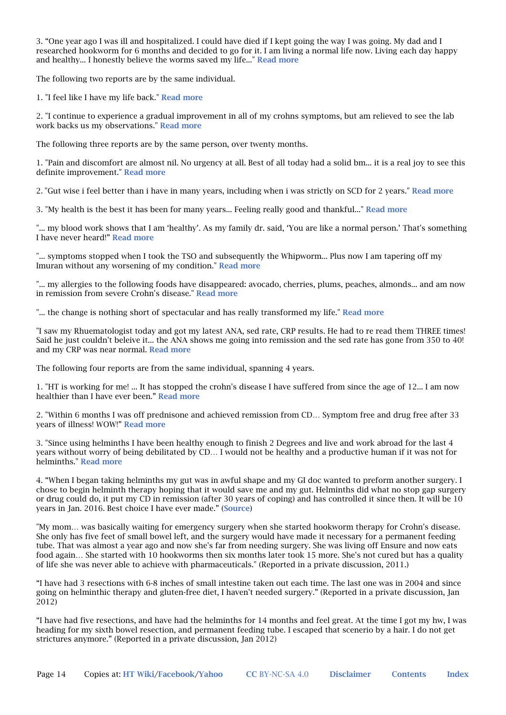3. "One year ago I was ill and hospitalized. I could have died if I kept going the way I was going. My dad and I researched hookworm for 6 months and decided to go for it. I am living a normal life now. Living each day happy and healthy... I honestly believe the worms saved my life..." Read more

The following two reports are by the same individual.

1. "I feel like I have my life back." Read more

2. "I continue to experience a gradual improvement in all of my crohns symptoms, but am relieved to see the lab work backs us my observations." Read more

The following three reports are by the same person, over twenty months.

1. "Pain and discomfort are almost nil. No urgency at all. Best of all today had a solid bm... it is a real joy to see this definite improvement." Read more

2. "Gut wise i feel better than i have in many years, including when i was strictly on SCD for 2 years." Read more

3. "My health is the best it has been for many years... Feeling really good and thankful..." Read more

"... my blood work shows that I am 'healthy'. As my family dr. said, 'You are like a normal person.' That's something I have never heard!" Read more

"... symptoms stopped when I took the TSO and subsequently the Whipworm... Plus now I am tapering off my Imuran without any worsening of my condition." Read more

"... my allergies to the following foods have disappeared: avocado, cherries, plums, peaches, almonds... and am now in remission from severe Crohn's disease." Read more

"... the change is nothing short of spectacular and has really transformed my life." Read more

"I saw my Rhuematologist today and got my latest ANA, sed rate, CRP results. He had to re read them THREE times! Said he just couldn't beleive it... the ANA shows me going into remission and the sed rate has gone from 350 to 40! and my CRP was near normal. Read more

The following four reports are from the same individual, spanning 4 years.

1. "HT is working for me! ... It has stopped the crohn's disease I have suffered from since the age of 12... I am now healthier than I have ever been." Read more

2. "Within 6 months I was off prednisone and achieved remission from CD… Symptom free and drug free after 33 years of illness! WOW!" Read more

3. "Since using helminths I have been healthy enough to finish 2 Degrees and live and work abroad for the last 4 years without worry of being debilitated by CD… I would not be healthy and a productive human if it was not for helminths." Read more

4. "When I began taking helminths my gut was in awful shape and my GI doc wanted to preform another surgery. I chose to begin helminth therapy hoping that it would save me and my gut. Helminths did what no stop gap surgery or drug could do, it put my CD in remission (after 30 years of coping) and has controlled it since then. It will be 10 years in Jan. 2016. Best choice I have ever made." (Source)

"My mom… was basically waiting for emergency surgery when she started hookworm therapy for Crohn's disease. She only has five feet of small bowel left, and the surgery would have made it necessary for a permanent feeding tube. That was almost a year ago and now she's far from needing surgery. She was living off Ensure and now eats food again... She started with 10 hookworms then six months later took 15 more. She's not cured but has a quality of life she was never able to achieve with pharmaceuticals." (Reported in a private discussion, 2011.)

"I have had 3 resections with 6-8 inches of small intestine taken out each time. The last one was in 2004 and since going on helminthic therapy and gluten-free diet, I haven't needed surgery." (Reported in a private discussion, Jan 2012)

"I have had five resections, and have had the helminths for 14 months and feel great. At the time I got my hw, I was heading for my sixth bowel resection, and permanent feeding tube. I escaped that scenerio by a hair. I do not get strictures anymore." (Reported in a private discussion, Jan 2012)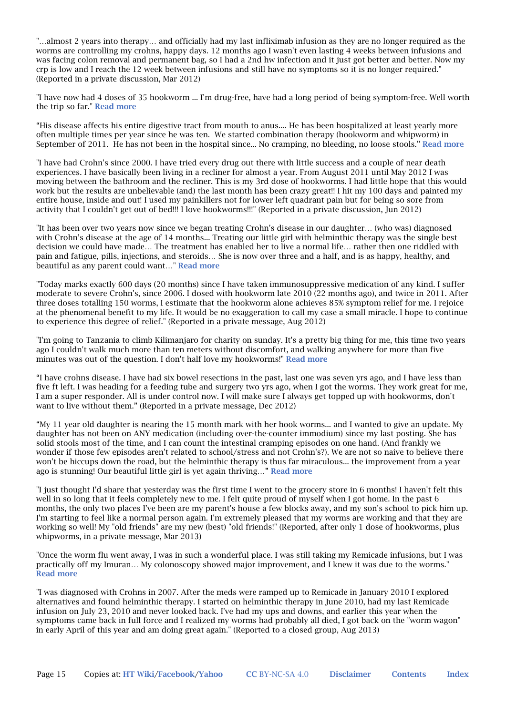"…almost 2 years into therapy… and officially had my last infliximab infusion as they are no longer required as the worms are controlling my crohns, happy days. 12 months ago I wasn't even lasting 4 weeks between infusions and was facing colon removal and permanent bag, so I had a 2nd hw infection and it just got better and better. Now my crp is low and I reach the 12 week between infusions and still have no symptoms so it is no longer required." (Reported in a private discussion, Mar 2012)

"I have now had 4 doses of 35 hookworm ... I'm drug-free, have had a long period of being symptom-free. Well worth the trip so far." Read more

"His disease affects his entire digestive tract from mouth to anus.... He has been hospitalized at least yearly more often multiple times per year since he was ten. We started combination therapy (hookworm and whipworm) in September of 2011. He has not been in the hospital since... No cramping, no bleeding, no loose stools." Read more

"I have had Crohn's since 2000. I have tried every drug out there with little success and a couple of near death experiences. I have basically been living in a recliner for almost a year. From August 2011 until May 2012 I was moving between the bathroom and the recliner. This is my 3rd dose of hookworms. I had little hope that this would work but the results are unbelievable (and) the last month has been crazy great!! I hit my 100 days and painted my entire house, inside and out! I used my painkillers not for lower left quadrant pain but for being so sore from activity that I couldn't get out of bed!!! I love hookworms!!!" (Reported in a private discussion, Jun 2012)

"It has been over two years now since we began treating Crohn's disease in our daughter… (who was) diagnosed with Crohn's disease at the age of 14 months... Treating our little girl with helminthic therapy was the single best decision we could have made… The treatment has enabled her to live a normal life… rather then one riddled with pain and fatigue, pills, injections, and steroids… She is now over three and a half, and is as happy, healthy, and beautiful as any parent could want…" Read more

"Today marks exactly 600 days (20 months) since I have taken immunosuppressive medication of any kind. I suffer moderate to severe Crohn's, since 2006. I dosed with hookworm late 2010 (22 months ago), and twice in 2011. After three doses totalling 150 worms, I estimate that the hookworm alone achieves 85% symptom relief for me. I rejoice at the phenomenal benefit to my life. It would be no exaggeration to call my case a small miracle. I hope to continue to experience this degree of relief." (Reported in a private message, Aug 2012)

"I'm going to Tanzania to climb Kilimanjaro for charity on sunday. It's a pretty big thing for me, this time two years ago I couldn't walk much more than ten meters without discomfort, and walking anywhere for more than five minutes was out of the question. I don't half love my hookworms!" **Read more** 

"I have crohns disease. I have had six bowel resections in the past, last one was seven yrs ago, and I have less than five ft left. I was heading for a feeding tube and surgery two yrs ago, when I got the worms. They work great for me, I am a super responder. All is under control now. I will make sure I always get topped up with hookworms, don't want to live without them." (Reported in a private message, Dec 2012)

"My 11 year old daughter is nearing the 15 month mark with her hook worms... and I wanted to give an update. My daughter has not been on ANY medication (including over-the-counter immodium) since my last posting. She has solid stools most of the time, and I can count the intestinal cramping episodes on one hand. (And frankly we wonder if those few episodes aren't related to school/stress and not Crohn's?). We are not so naive to believe there won't be hiccups down the road, but the helminthic therapy is thus far miraculous... the improvement from a year ago is stunning! Our beautiful little girl is yet again thriving…" Read more

"I just thought I'd share that yesterday was the first time I went to the grocery store in 6 months! I haven't felt this well in so long that it feels completely new to me. I felt quite proud of myself when I got home. In the past 6 months, the only two places I've been are my parent's house a few blocks away, and my son's school to pick him up. I'm starting to feel like a normal person again. I'm extremely pleased that my worms are working and that they are working so well! My "old friends" are my new (best) "old friends!" (Reported, after only 1 dose of hookworms, plus whipworms, in a private message, Mar 2013)

"Once the worm flu went away, I was in such a wonderful place. I was still taking my Remicade infusions, but I was practically off my Imuran… My colonoscopy showed major improvement, and I knew it was due to the worms." Read more

"I was diagnosed with Crohns in 2007. After the meds were ramped up to Remicade in January 2010 I explored alternatives and found helminthic therapy. I started on helminthic therapy in June 2010, had my last Remicade infusion on July 23, 2010 and never looked back. I've had my ups and downs, and earlier this year when the symptoms came back in full force and I realized my worms had probably all died, I got back on the "worm wagon" in early April of this year and am doing great again." (Reported to a closed group, Aug 2013)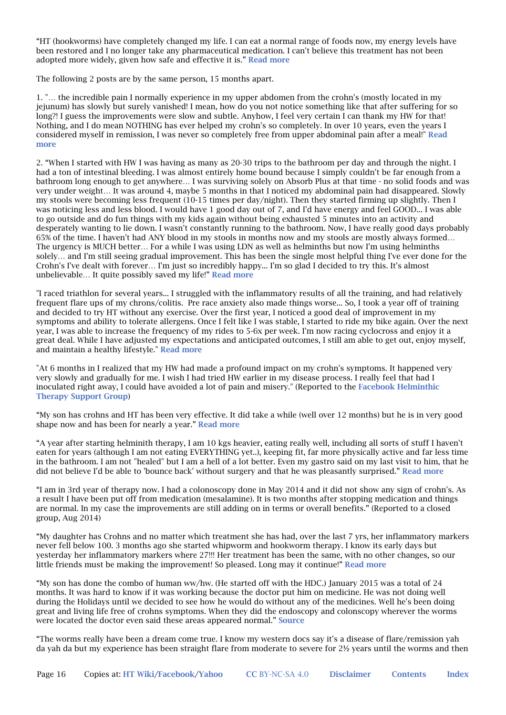"HT (hookworms) have completely changed my life. I can eat a normal range of foods now, my energy levels have been restored and I no longer take any pharmaceutical medication. I can't believe this treatment has not been adopted more widely, given how safe and effective it is." Read more

The following 2 posts are by the same person, 15 months apart.

1. "… the incredible pain I normally experience in my upper abdomen from the crohn's (mostly located in my jejunum) has slowly but surely vanished! I mean, how do you not notice something like that after suffering for so long?! I guess the improvements were slow and subtle. Anyhow, I feel very certain I can thank my HW for that! Nothing, and I do mean NOTHING has ever helped my crohn's so completely. In over 10 years, even the years I considered myself in remission, I was never so completely free from upper abdominal pain after a meal!" Read more

2. "When I started with HW I was having as many as 20-30 trips to the bathroom per day and through the night. I had a ton of intestinal bleeding. I was almost entirely home bound because I simply couldn't be far enough from a bathroom long enough to get anywhere… I was surviving solely on Absorb Plus at that time - no solid foods and was very under weight… It was around 4, maybe 5 months in that I noticed my abdominal pain had disappeared. Slowly my stools were becoming less frequent (10-15 times per day/night). Then they started firming up slightly. Then I was noticing less and less blood. I would have 1 good day out of 7, and I'd have energy and feel GOOD... I was able to go outside and do fun things with my kids again without being exhausted 5 minutes into an activity and desperately wanting to lie down. I wasn't constantly running to the bathroom. Now, I have really good days probably 65% of the time. I haven't had ANY blood in my stools in months now and my stools are mostly always formed… The urgency is MUCH better… For a while I was using LDN as well as helminths but now I'm using helminths solely… and I'm still seeing gradual improvement. This has been the single most helpful thing I've ever done for the Crohn's I've dealt with forever… I'm just so incredibly happy... I'm so glad I decided to try this. It's almost unbelievable… It quite possibly saved my life!" Read more

"I raced triathlon for several years... I struggled with the inflammatory results of all the training, and had relatively frequent flare ups of my chrons/colitis. Pre race anxiety also made things worse... So, I took a year off of training and decided to try HT without any exercise. Over the first year, I noticed a good deal of improvement in my symptoms and ability to tolerate allergens. Once I felt like I was stable, I started to ride my bike again. Over the next year, I was able to increase the frequency of my rides to 5-6x per week. I'm now racing cyclocross and enjoy it a great deal. While I have adjusted my expectations and anticipated outcomes, I still am able to get out, enjoy myself, and maintain a healthy lifestyle." Read more

"At 6 months in I realized that my HW had made a profound impact on my crohn's symptoms. It happened very very slowly and gradually for me. I wish I had tried HW earlier in my disease process. I really feel that had I inoculated right away, I could have avoided a lot of pain and misery." (Reported to the Facebook Helminthic Therapy Support Group)

"My son has crohns and HT has been very effective. It did take a while (well over 12 months) but he is in very good shape now and has been for nearly a year." Read more

"A year after starting helminith therapy, I am 10 kgs heavier, eating really well, including all sorts of stuff I haven't eaten for years (although I am not eating EVERYTHING yet..), keeping fit, far more physically active and far less time in the bathroom. I am not "healed" but I am a hell of a lot better. Even my gastro said on my last visit to him, that he did not believe I'd be able to 'bounce back' without surgery and that he was pleasantly surprised." Read more

"I am in 3rd year of therapy now. I had a colonoscopy done in May 2014 and it did not show any sign of crohn's. As a result I have been put off from medication (mesalamine). It is two months after stopping medication and things are normal. In my case the improvements are still adding on in terms or overall benefits." (Reported to a closed group, Aug 2014)

"My daughter has Crohns and no matter which treatment she has had, over the last 7 yrs, her inflammatory markers never fell below 100. 3 months ago she started whipworm and hookworm therapy. I know its early days but yesterday her inflammatory markers where 27!!! Her treatment has been the same, with no other changes, so our little friends must be making the improvement! So pleased. Long may it continue!" Read more

"My son has done the combo of human ww/hw. (He started off with the HDC.) January 2015 was a total of 24 months. It was hard to know if it was working because the doctor put him on medicine. He was not doing well during the Holidays until we decided to see how he would do without any of the medicines. Well he's been doing great and living life free of crohns symptoms. When they did the endoscopy and colonscopy wherever the worms were located the doctor even said these areas appeared normal." Source

"The worms really have been a dream come true. I know my western docs say it's a disease of flare/remission yah da yah da but my experience has been straight flare from moderate to severe for 2½ years until the worms and then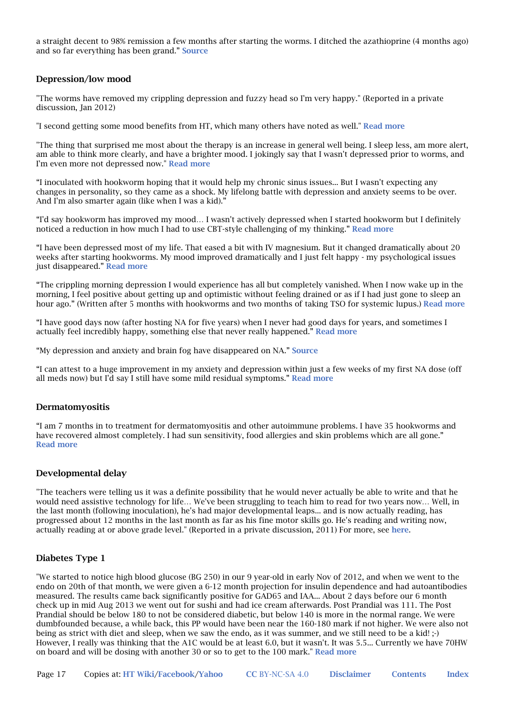a straight decent to 98% remission a few months after starting the worms. I ditched the azathioprine (4 months ago) and so far everything has been grand." Source

#### Depression/low mood

"The worms have removed my crippling depression and fuzzy head so I'm very happy." (Reported in a private discussion, Jan 2012)

"I second getting some mood benefits from HT, which many others have noted as well." Read more

"The thing that surprised me most about the therapy is an increase in general well being. I sleep less, am more alert, am able to think more clearly, and have a brighter mood. I jokingly say that I wasn't depressed prior to worms, and I'm even more not depressed now." Read more

"I inoculated with hookworm hoping that it would help my chronic sinus issues... But I wasn't expecting any changes in personality, so they came as a shock. My lifelong battle with depression and anxiety seems to be over. And I'm also smarter again (like when I was a kid)."

"I'd say hookworm has improved my mood… I wasn't actively depressed when I started hookworm but I definitely noticed a reduction in how much I had to use CBT-style challenging of my thinking." Read more

"I have been depressed most of my life. That eased a bit with IV magnesium. But it changed dramatically about 20 weeks after starting hookworms. My mood improved dramatically and I just felt happy - my psychological issues just disappeared." Read more

"The crippling morning depression I would experience has all but completely vanished. When I now wake up in the morning, I feel positive about getting up and optimistic without feeling drained or as if I had just gone to sleep an hour ago." (Written after 5 months with hookworms and two months of taking TSO for systemic lupus.) Read more

"I have good days now (after hosting NA for five years) when I never had good days for years, and sometimes I actually feel incredibly happy, something else that never really happened." Read more

"My depression and anxiety and brain fog have disappeared on NA." Source

"I can attest to a huge improvement in my anxiety and depression within just a few weeks of my first NA dose (off all meds now) but I'd say I still have some mild residual symptoms." Read more

#### Dermatomyositis

"I am 7 months in to treatment for dermatomyositis and other autoimmune problems. I have 35 hookworms and have recovered almost completely. I had sun sensitivity, food allergies and skin problems which are all gone." Read more

#### Developmental delay

"The teachers were telling us it was a definite possibility that he would never actually be able to write and that he would need assistive technology for life… We've been struggling to teach him to read for two years now… Well, in the last month (following inoculation), he's had major developmental leaps... and is now actually reading, has progressed about 12 months in the last month as far as his fine motor skills go. He's reading and writing now, actually reading at or above grade level." (Reported in a private discussion, 2011) For more, see here.

### Diabetes Type 1

"We started to notice high blood glucose (BG 250) in our 9 year-old in early Nov of 2012, and when we went to the endo on 20th of that month, we were given a 6-12 month projection for insulin dependence and had autoantibodies measured. The results came back significantly positive for GAD65 and IAA... About 2 days before our 6 month check up in mid Aug 2013 we went out for sushi and had ice cream afterwards. Post Prandial was 111. The Post Prandial should be below 180 to not be considered diabetic, but below 140 is more in the normal range. We were dumbfounded because, a while back, this PP would have been near the 160-180 mark if not higher. We were also not being as strict with diet and sleep, when we saw the endo, as it was summer, and we still need to be a kid! ;-) However, I really was thinking that the A1C would be at least 6.0, but it wasn't. It was 5.5... Currently we have 70HW on board and will be dosing with another 30 or so to get to the 100 mark." Read more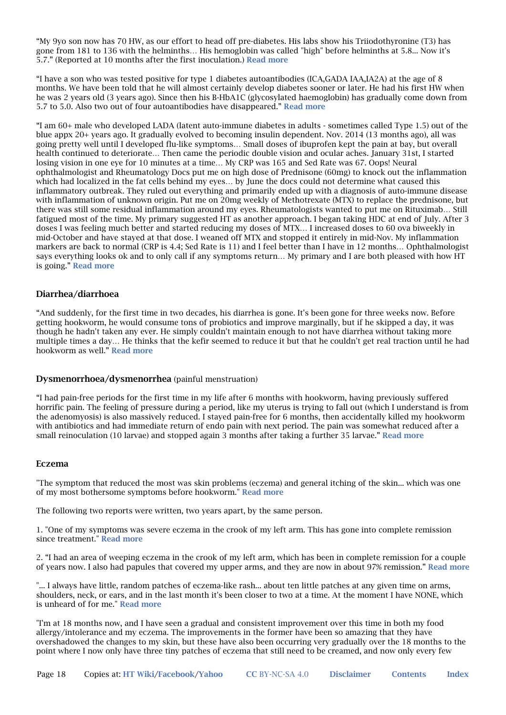"My 9yo son now has 70 HW, as our effort to head off pre-diabetes. His labs show his Triiodothyronine (T3) has gone from 181 to 136 with the helminths… His hemoglobin was called "high" before helminths at 5.8... Now it's 5.7." (Reported at 10 months after the first inoculation.) Read more

"I have a son who was tested positive for type 1 diabetes autoantibodies (ICA,GADA IAA,IA2A) at the age of 8 months. We have been told that he will almost certainly develop diabetes sooner or later. He had his first HW when he was 2 years old (3 years ago). Since then his B-HbA1C (glycosylated haemoglobin) has gradually come down from 5.7 to 5.0. Also two out of four autoantibodies have disappeared." Read more

"I am 60+ male who developed LADA (latent auto-immune diabetes in adults - sometimes called Type 1.5) out of the blue appx 20+ years ago. It gradually evolved to becoming insulin dependent. Nov. 2014 (13 months ago), all was going pretty well until I developed flu-like symptoms… Small doses of ibuprofen kept the pain at bay, but overall health continued to deteriorate… Then came the periodic double vision and ocular aches. January 31st, I started losing vision in one eye for 10 minutes at a time… My CRP was 165 and Sed Rate was 67. Oops! Neural ophthalmologist and Rheumatology Docs put me on high dose of Prednisone (60mg) to knock out the inflammation which had localized in the fat cells behind my eyes... by June the docs could not determine what caused this inflammatory outbreak. They ruled out everything and primarily ended up with a diagnosis of auto-immune disease with inflammation of unknown origin. Put me on 20mg weekly of Methotrexate (MTX) to replace the prednisone, but there was still some residual inflammation around my eyes. Rheumatologists wanted to put me on Rituximab… Still fatigued most of the time. My primary suggested HT as another approach. I began taking HDC at end of July. After 3 doses I was feeling much better and started reducing my doses of MTX… I increased doses to 60 ova biweekly in mid-October and have stayed at that dose. I weaned off MTX and stopped it entirely in mid-Nov. My inflammation markers are back to normal (CRP is 4.4; Sed Rate is 11) and I feel better than I have in 12 months… Ophthalmologist says everything looks ok and to only call if any symptoms return… My primary and I are both pleased with how HT is going." Read more

#### Diarrhea/diarrhoea

"And suddenly, for the first time in two decades, his diarrhea is gone. It's been gone for three weeks now. Before getting hookworm, he would consume tons of probiotics and improve marginally, but if he skipped a day, it was though he hadn't taken any ever. He simply couldn't maintain enough to not have diarrhea without taking more multiple times a day… He thinks that the kefir seemed to reduce it but that he couldn't get real traction until he had hookworm as well." Read more

#### Dysmenorrhoea/dysmenorrhea (painful menstruation)

"I had pain-free periods for the first time in my life after 6 months with hookworm, having previously suffered horrific pain. The feeling of pressure during a period, like my uterus is trying to fall out (which I understand is from the adenomyosis) is also massively reduced. I stayed pain-free for 6 months, then accidentally killed my hookworm with antibiotics and had immediate return of endo pain with next period. The pain was somewhat reduced after a small reinoculation (10 larvae) and stopped again 3 months after taking a further 35 larvae." Read more

#### Eczema

"The symptom that reduced the most was skin problems (eczema) and general itching of the skin... which was one of my most bothersome symptoms before hookworm." Read more

The following two reports were written, two years apart, by the same person.

1. "One of my symptoms was severe eczema in the crook of my left arm. This has gone into complete remission since treatment." Read more

2. "I had an area of weeping eczema in the crook of my left arm, which has been in complete remission for a couple of years now. I also had papules that covered my upper arms, and they are now in about 97% remission." Read more

"... I always have little, random patches of eczema-like rash... about ten little patches at any given time on arms, shoulders, neck, or ears, and in the last month it's been closer to two at a time. At the moment I have NONE, which is unheard of for me." Read more

"I'm at 18 months now, and I have seen a gradual and consistent improvement over this time in both my food allergy/intolerance and my eczema. The improvements in the former have been so amazing that they have overshadowed the changes to my skin, but these have also been occurring very gradually over the 18 months to the point where I now only have three tiny patches of eczema that still need to be creamed, and now only every few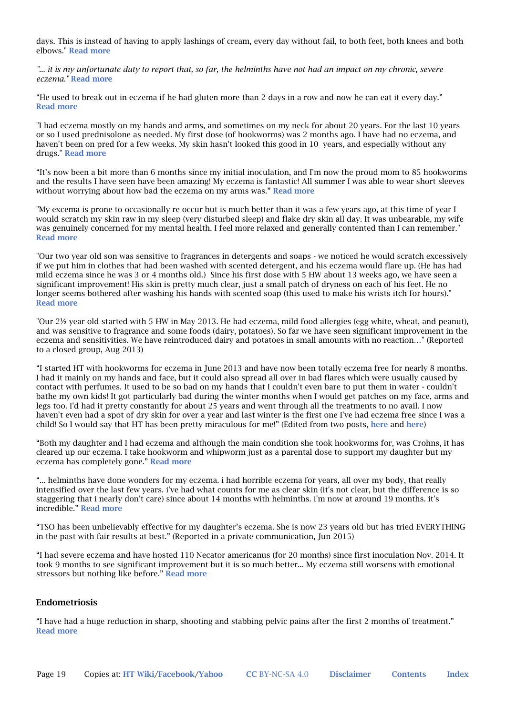days. This is instead of having to apply lashings of cream, every day without fail, to both feet, both knees and both elbows." Read more

*"... it is my unfortunate duty to report that, so far, the helminths have not had an impact on my chronic, severe eczema."* Read more

"He used to break out in eczema if he had gluten more than 2 days in a row and now he can eat it every day." Read more

"I had eczema mostly on my hands and arms, and sometimes on my neck for about 20 years. For the last 10 years or so I used prednisolone as needed. My first dose (of hookworms) was 2 months ago. I have had no eczema, and haven't been on pred for a few weeks. My skin hasn't looked this good in 10 years, and especially without any drugs." Read more

"It's now been a bit more than 6 months since my initial inoculation, and I'm now the proud mom to 85 hookworms and the results I have seen have been amazing! My eczema is fantastic! All summer I was able to wear short sleeves without worrying about how bad the eczema on my arms was." Read more

"My excema is prone to occasionally re occur but is much better than it was a few years ago, at this time of year I would scratch my skin raw in my sleep (very disturbed sleep) and flake dry skin all day. It was unbearable, my wife was genuinely concerned for my mental health. I feel more relaxed and generally contented than I can remember." Read more

"Our two year old son was sensitive to fragrances in detergents and soaps - we noticed he would scratch excessively if we put him in clothes that had been washed with scented detergent, and his eczema would flare up. (He has had mild eczema since he was 3 or 4 months old.) Since his first dose with 5 HW about 13 weeks ago, we have seen a significant improvement! His skin is pretty much clear, just a small patch of dryness on each of his feet. He no longer seems bothered after washing his hands with scented soap (this used to make his wrists itch for hours)." Read more

"Our 2½ year old started with 5 HW in May 2013. He had eczema, mild food allergies (egg white, wheat, and peanut), and was sensitive to fragrance and some foods (dairy, potatoes). So far we have seen significant improvement in the eczema and sensitivities. We have reintroduced dairy and potatoes in small amounts with no reaction…" (Reported to a closed group, Aug 2013)

"I started HT with hookworms for eczema in June 2013 and have now been totally eczema free for nearly 8 months. I had it mainly on my hands and face, but it could also spread all over in bad flares which were usually caused by contact with perfumes. It used to be so bad on my hands that I couldn't even bare to put them in water - couldn't bathe my own kids! It got particularly bad during the winter months when I would get patches on my face, arms and legs too. I'd had it pretty constantly for about 25 years and went through all the treatments to no avail. I now haven't even had a spot of dry skin for over a year and last winter is the first one I've had eczema free since I was a child! So I would say that HT has been pretty miraculous for me!" (Edited from two posts, here and here)

"Both my daughter and I had eczema and although the main condition she took hookworms for, was Crohns, it has cleared up our eczema. I take hookworm and whipworm just as a parental dose to support my daughter but my eczema has completely gone." Read more

"... helminths have done wonders for my eczema. i had horrible eczema for years, all over my body, that really intensified over the last few years. i've had what counts for me as clear skin (it's not clear, but the difference is so staggering that i nearly don't care) since about 14 months with helminths. i'm now at around 19 months. it's incredible." Read more

"TSO has been unbelievably effective for my daughter's eczema. She is now 23 years old but has tried EVERYTHING in the past with fair results at best." (Reported in a private communication, Jun 2015)

"I had severe eczema and have hosted 110 Necator americanus (for 20 months) since first inoculation Nov. 2014. It took 9 months to see significant improvement but it is so much better... My eczema still worsens with emotional stressors but nothing like before." Read more

#### Endometriosis

"I have had a huge reduction in sharp, shooting and stabbing pelvic pains after the first 2 months of treatment." Read more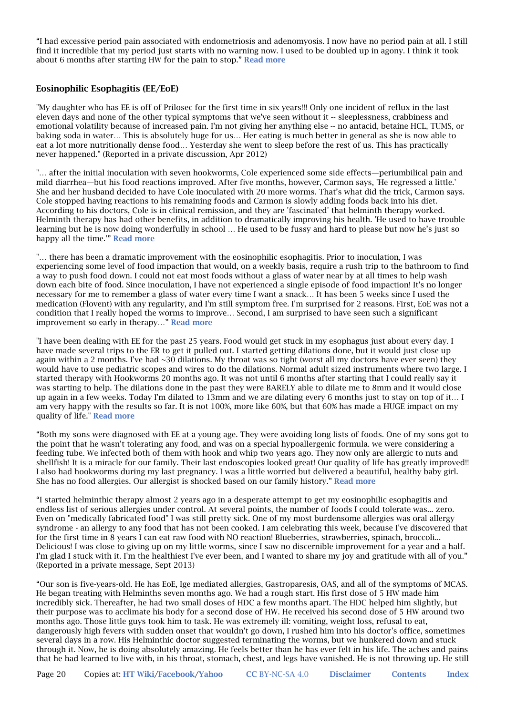"I had excessive period pain associated with endometriosis and adenomyosis. I now have no period pain at all. I still find it incredible that my period just starts with no warning now. I used to be doubled up in agony. I think it took about 6 months after starting HW for the pain to stop." Read more

### Eosinophilic Esophagitis (EE/EoE)

"My daughter who has EE is off of Prilosec for the first time in six years!!! Only one incident of reflux in the last eleven days and none of the other typical symptoms that we've seen without it -- sleeplessness, crabbiness and emotional volatility because of increased pain. I'm not giving her anything else -- no antacid, betaine HCL, TUMS, or baking soda in water… This is absolutely huge for us… Her eating is much better in general as she is now able to eat a lot more nutritionally dense food… Yesterday she went to sleep before the rest of us. This has practically never happened." (Reported in a private discussion, Apr 2012)

"… after the initial inoculation with seven hookworms, Cole experienced some side effects—periumbilical pain and mild diarrhea—but his food reactions improved. After five months, however, Carmon says, 'He regressed a little.' She and her husband decided to have Cole inoculated with 20 more worms. That's what did the trick, Carmon says. Cole stopped having reactions to his remaining foods and Carmon is slowly adding foods back into his diet. According to his doctors, Cole is in clinical remission, and they are 'fascinated' that helminth therapy worked. Helminth therapy has had other benefits, in addition to dramatically improving his health. 'He used to have trouble learning but he is now doing wonderfully in school … He used to be fussy and hard to please but now he's just so happy all the time."" Read more

"… there has been a dramatic improvement with the eosinophilic esophagitis. Prior to inoculation, I was experiencing some level of food impaction that would, on a weekly basis, require a rush trip to the bathroom to find a way to push food down. I could not eat most foods without a glass of water near by at all times to help wash down each bite of food. Since inoculation, I have not experienced a single episode of food impaction! It's no longer necessary for me to remember a glass of water every time I want a snack… It has been 5 weeks since I used the medication (Flovent) with any regularity, and I'm still symptom free. I'm surprised for 2 reasons. First, EoE was not a condition that I really hoped the worms to improve… Second, I am surprised to have seen such a significant improvement so early in therapy…" Read more

"I have been dealing with EE for the past 25 years. Food would get stuck in my esophagus just about every day. I have made several trips to the ER to get it pulled out. I started getting dilations done, but it would just close up again within a 2 months. I've had  $\sim$ 30 dilations. My throat was so tight (worst all my doctors have ever seen) they would have to use pediatric scopes and wires to do the dilations. Normal adult sized instruments where two large. I started therapy with Hookworms 20 months ago. It was not until 6 months after starting that I could really say it was starting to help. The dilations done in the past they were BARELY able to dilate me to 8mm and it would close up again in a few weeks. Today I'm dilated to 13mm and we are dilating every 6 months just to stay on top of it… I am very happy with the results so far. It is not 100%, more like 60%, but that 60% has made a HUGE impact on my quality of life." Read more

"Both my sons were diagnosed with EE at a young age. They were avoiding long lists of foods. One of my sons got to the point that he wasn't tolerating any food, and was on a special hypoallergenic formula. we were considering a feeding tube. We infected both of them with hook and whip two years ago. They now only are allergic to nuts and shellfish! It is a miracle for our family. Their last endoscopies looked great! Our quality of life has greatly improved!! I also had hookworms during my last pregnancy. I was a little worried but delivered a beautiful, healthy baby girl. She has no food allergies. Our allergist is shocked based on our family history." Read more

"I started helminthic therapy almost 2 years ago in a desperate attempt to get my eosinophilic esophagitis and endless list of serious allergies under control. At several points, the number of foods I could tolerate was... zero. Even on "medically fabricated food" I was still pretty sick. One of my most burdensome allergies was oral allergy syndrome - an allergy to any food that has not been cooked. I am celebrating this week, because I've discovered that for the first time in 8 years I can eat raw food with NO reaction! Blueberries, strawberries, spinach, broccoli... Delicious! I was close to giving up on my little worms, since I saw no discernible improvement for a year and a half. I'm glad I stuck with it. I'm the healthiest I've ever been, and I wanted to share my joy and gratitude with all of you." (Reported in a private message, Sept 2013)

"Our son is five-years-old. He has EoE, Ige mediated allergies, Gastroparesis, OAS, and all of the symptoms of MCAS. He began treating with Helminths seven months ago. We had a rough start. His first dose of 5 HW made him incredibly sick. Thereafter, he had two small doses of HDC a few months apart. The HDC helped him slightly, but their purpose was to acclimate his body for a second dose of HW. He received his second dose of 5 HW around two months ago. Those little guys took him to task. He was extremely ill: vomiting, weight loss, refusal to eat, dangerously high fevers with sudden onset that wouldn't go down, I rushed him into his doctor's office, sometimes several days in a row. His Helminthic doctor suggested terminating the worms, but we hunkered down and stuck through it. Now, he is doing absolutely amazing. He feels better than he has ever felt in his life. The aches and pains that he had learned to live with, in his throat, stomach, chest, and legs have vanished. He is not throwing up. He still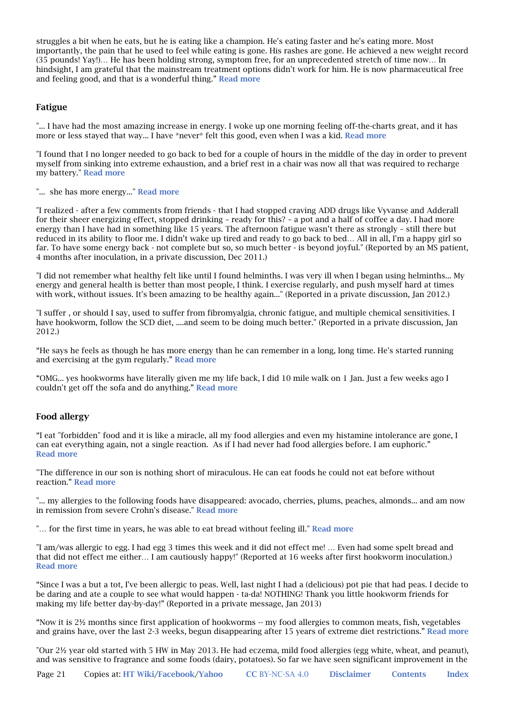struggles a bit when he eats, but he is eating like a champion. He's eating faster and he's eating more. Most importantly, the pain that he used to feel while eating is gone. His rashes are gone. He achieved a new weight record (35 pounds! Yay!)… He has been holding strong, symptom free, for an unprecedented stretch of time now… In hindsight, I am grateful that the mainstream treatment options didn't work for him. He is now pharmaceutical free and feeling good, and that is a wonderful thing." Read more

### Fatigue

"... I have had the most amazing increase in energy. I woke up one morning feeling off-the-charts great, and it has more or less stayed that way... I have \*never\* felt this good, even when I was a kid. Read more

"I found that I no longer needed to go back to bed for a couple of hours in the middle of the day in order to prevent myself from sinking into extreme exhaustion, and a brief rest in a chair was now all that was required to recharge my battery." Read more

"... she has more energy..." Read more

"I realized - after a few comments from friends - that I had stopped craving ADD drugs like Vyvanse and Adderall for their sheer energizing effect, stopped drinking – ready for this? – a pot and a half of coffee a day. I had more energy than I have had in something like 15 years. The afternoon fatigue wasn't there as strongly – still there but reduced in its ability to floor me. I didn't wake up tired and ready to go back to bed… All in all, I'm a happy girl so far. To have some energy back - not complete but so, so much better - is beyond joyful." (Reported by an MS patient, 4 months after inoculation, in a private discussion, Dec 2011.)

"I did not remember what healthy felt like until I found helminths. I was very ill when I began using helminths... My energy and general health is better than most people, I think. I exercise regularly, and push myself hard at times with work, without issues. It's been amazing to be healthy again..." (Reported in a private discussion, Jan 2012.)

"I suffer , or should I say, used to suffer from fibromyalgia, chronic fatigue, and multiple chemical sensitivities. I have hookworm, follow the SCD diet, ....and seem to be doing much better." (Reported in a private discussion, Jan 2012.)

"He says he feels as though he has more energy than he can remember in a long, long time. He's started running and exercising at the gym regularly." Read more

"OMG... yes hookworms have literally given me my life back, I did 10 mile walk on 1 Jan. Just a few weeks ago I couldn't get off the sofa and do anything." Read more

### Food allergy

"I eat "forbidden" food and it is like a miracle, all my food allergies and even my histamine intolerance are gone, I can eat everything again, not a single reaction. As if I had never had food allergies before. I am euphoric." Read more

"The difference in our son is nothing short of miraculous. He can eat foods he could not eat before without reaction." Read more

"... my allergies to the following foods have disappeared: avocado, cherries, plums, peaches, almonds... and am now in remission from severe Crohn's disease." Read more

"... for the first time in years, he was able to eat bread without feeling ill." Read more

"I am/was allergic to egg. I had egg 3 times this week and it did not effect me! … Even had some spelt bread and that did not effect me either… I am cautiously happy!" (Reported at 16 weeks after first hookworm inoculation.) Read more

"Since I was a but a tot, I've been allergic to peas. Well, last night I had a (delicious) pot pie that had peas. I decide to be daring and ate a couple to see what would happen - ta-da! NOTHING! Thank you little hookworm friends for making my life better day-by-day!" (Reported in a private message, Jan 2013)

"Now it is 2½ months since first application of hookworms -- my food allergies to common meats, fish, vegetables and grains have, over the last 2-3 weeks, begun disappearing after 15 years of extreme diet restrictions." Read more

"Our 2½ year old started with 5 HW in May 2013. He had eczema, mild food allergies (egg white, wheat, and peanut), and was sensitive to fragrance and some foods (dairy, potatoes). So far we have seen significant improvement in the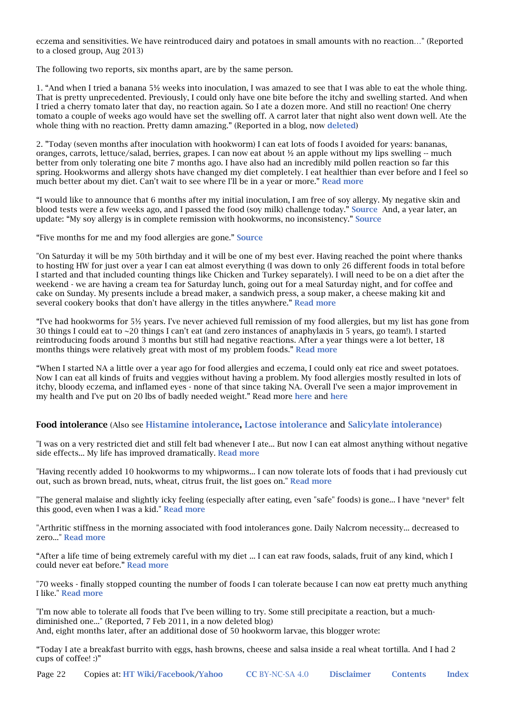eczema and sensitivities. We have reintroduced dairy and potatoes in small amounts with no reaction…" (Reported to a closed group, Aug 2013)

The following two reports, six months apart, are by the same person.

1. "And when I tried a banana 5½ weeks into inoculation, I was amazed to see that I was able to eat the whole thing. That is pretty unprecedented. Previously, I could only have one bite before the itchy and swelling started. And when I tried a cherry tomato later that day, no reaction again. So I ate a dozen more. And still no reaction! One cherry tomato a couple of weeks ago would have set the swelling off. A carrot later that night also went down well. Ate the whole thing with no reaction. Pretty damn amazing." (Reported in a blog, now deleted)

2. "Today (seven months after inoculation with hookworm) I can eat lots of foods I avoided for years: bananas, oranges, carrots, lettuce/salad, berries, grapes. I can now eat about ½ an apple without my lips swelling -- much better from only tolerating one bite 7 months ago. I have also had an incredibly mild pollen reaction so far this spring. Hookworms and allergy shots have changed my diet completely. I eat healthier than ever before and I feel so much better about my diet. Can't wait to see where I'll be in a year or more." Read more

"I would like to announce that 6 months after my initial inoculation, I am free of soy allergy. My negative skin and blood tests were a few weeks ago, and I passed the food (soy milk) challenge today." Source And, a year later, an update: "My soy allergy is in complete remission with hookworms, no inconsistency." Source

"Five months for me and my food allergies are gone." Source

"On Saturday it will be my 50th birthday and it will be one of my best ever. Having reached the point where thanks to hosting HW for just over a year I can eat almost everything (I was down to only 26 different foods in total before I started and that included counting things like Chicken and Turkey separately). I will need to be on a diet after the weekend - we are having a cream tea for Saturday lunch, going out for a meal Saturday night, and for coffee and cake on Sunday. My presents include a bread maker, a sandwich press, a soup maker, a cheese making kit and several cookery books that don't have allergy in the titles anywhere." Read more

"I've had hookworms for 5½ years. I've never achieved full remission of my food allergies, but my list has gone from 30 things I could eat to ~20 things I can't eat (and zero instances of anaphylaxis in 5 years, go team!). I started reintroducing foods around 3 months but still had negative reactions. After a year things were a lot better, 18 months things were relatively great with most of my problem foods." Read more

"When I started NA a little over a year ago for food allergies and eczema, I could only eat rice and sweet potatoes. Now I can eat all kinds of fruits and veggies without having a problem. My food allergies mostly resulted in lots of itchy, bloody eczema, and inflamed eyes - none of that since taking NA. Overall I've seen a major improvement in my health and I've put on 20 lbs of badly needed weight." Read more here and here

#### Food intolerance (Also see Histamine intolerance, Lactose intolerance and Salicylate intolerance)

"I was on a very restricted diet and still felt bad whenever I ate... But now I can eat almost anything without negative side effects... My life has improved dramatically. Read more

"Having recently added 10 hookworms to my whipworms... I can now tolerate lots of foods that i had previously cut out, such as brown bread, nuts, wheat, citrus fruit, the list goes on." Read more

"The general malaise and slightly icky feeling (especially after eating, even "safe" foods) is gone... I have \*never\* felt this good, even when I was a kid." Read more

"Arthritic stiffness in the morning associated with food intolerances gone. Daily Nalcrom necessity... decreased to zero..." Read more

"After a life time of being extremely careful with my diet ... I can eat raw foods, salads, fruit of any kind, which I could never eat before." Read more

"70 weeks - finally stopped counting the number of foods I can tolerate because I can now eat pretty much anything I like." Read more

"I'm now able to tolerate all foods that I've been willing to try. Some still precipitate a reaction, but a muchdiminished one..." (Reported, 7 Feb 2011, in a now deleted blog) And, eight months later, after an additional dose of 50 hookworm larvae, this blogger wrote:

"Today I ate a breakfast burrito with eggs, hash browns, cheese and salsa inside a real wheat tortilla. And I had 2 cups of coffee! :)"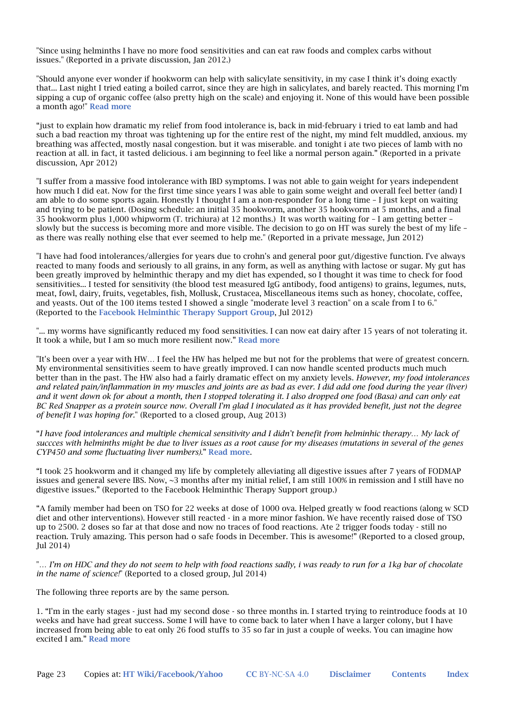"Since using helminths I have no more food sensitivities and can eat raw foods and complex carbs without issues." (Reported in a private discussion, Jan 2012.)

"Should anyone ever wonder if hookworm can help with salicylate sensitivity, in my case I think it's doing exactly that... Last night I tried eating a boiled carrot, since they are high in salicylates, and barely reacted. This morning I'm sipping a cup of organic coffee (also pretty high on the scale) and enjoying it. None of this would have been possible a month ago!" Read more

"just to explain how dramatic my relief from food intolerance is, back in mid-february i tried to eat lamb and had such a bad reaction my throat was tightening up for the entire rest of the night, my mind felt muddled, anxious. my breathing was affected, mostly nasal congestion. but it was miserable. and tonight i ate two pieces of lamb with no reaction at all. in fact, it tasted delicious. i am beginning to feel like a normal person again." (Reported in a private discussion, Apr 2012)

"I suffer from a massive food intolerance with IBD symptoms. I was not able to gain weight for years independent how much I did eat. Now for the first time since years I was able to gain some weight and overall feel better (and) I am able to do some sports again. Honestly I thought I am a non-responder for a long time – I just kept on waiting and trying to be patient. (Dosing schedule: an initial 35 hookworm, another 35 hookworm at 5 months, and a final 35 hookworm plus 1,000 whipworm (T. trichiura) at 12 months.) It was worth waiting for – I am getting better – slowly but the success is becoming more and more visible. The decision to go on HT was surely the best of my life – as there was really nothing else that ever seemed to help me." (Reported in a private message, Jun 2012)

"I have had food intolerances/allergies for years due to crohn's and general poor gut/digestive function. I've always reacted to many foods and seriously to all grains, in any form, as well as anything with lactose or sugar. My gut has been greatly improved by helminthic therapy and my diet has expended, so I thought it was time to check for food sensitivities... I tested for sensitivity (the blood test measured IgG antibody, food antigens) to grains, legumes, nuts, meat, fowl, dairy, fruits, vegetables, fish, Mollusk, Crustacea, Miscellaneous items such as honey, chocolate, coffee, and yeasts. Out of the 100 items tested I showed a single "moderate level 3 reaction" on a scale from I to 6." (Reported to the Facebook Helminthic Therapy Support Group, Jul 2012)

"... my worms have significantly reduced my food sensitivities. I can now eat dairy after 15 years of not tolerating it. It took a while, but I am so much more resilient now." Read more

"It's been over a year with HW… I feel the HW has helped me but not for the problems that were of greatest concern. My environmental sensitivities seem to have greatly improved. I can now handle scented products much much better than in the past. The HW also had a fairly dramatic effect on my anxiety levels. *However, my food intolerances and related pain/inflammation in my muscles and joints are as bad as ever. I did add one food during the year (liver) and it went down ok for about a month, then I stopped tolerating it. I also dropped one food (Basa) and can only eat BC Red Snapper as a protein source now. Overall I'm glad I inoculated as it has provided benefit, just not the degree of benefit I was hoping for.*" (Reported to a closed group, Aug 2013)

"*I have food intolerances and multiple chemical sensitivity and I didn't benefit from helminhic therapy… My lack of succces with helminths might be due to liver issues as a root cause for my diseases (mutations in several of the genes CYP450 and some fluctuating liver numbers).*" Read more.

"I took 25 hookworm and it changed my life by completely alleviating all digestive issues after 7 years of FODMAP issues and general severe IBS. Now, ~3 months after my initial relief, I am still 100% in remission and I still have no digestive issues." (Reported to the Facebook Helminthic Therapy Support group.)

"A family member had been on TSO for 22 weeks at dose of 1000 ova. Helped greatly w food reactions (along w SCD diet and other interventions). However still reacted - in a more minor fashion. We have recently raised dose of TSO up to 2500. 2 doses so far at that dose and now no traces of food reactions. Ate 2 trigger foods today - still no reaction. Truly amazing. This person had o safe foods in December. This is awesome!" (Reported to a closed group, Jul 2014)

"*… I'm on HDC and they do not seem to help with food reactions sadly, i was ready to run for a 1kg bar of chocolate in the name of science!*" (Reported to a closed group, Jul 2014)

The following three reports are by the same person.

1. "I'm in the early stages - just had my second dose - so three months in. I started trying to reintroduce foods at 10 weeks and have had great success. Some I will have to come back to later when I have a larger colony, but I have increased from being able to eat only 26 food stuffs to 35 so far in just a couple of weeks. You can imagine how excited I am." Read more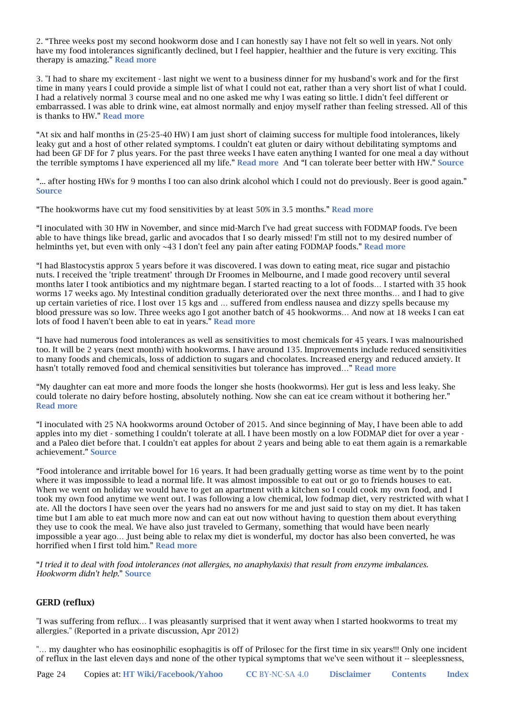2. "Three weeks post my second hookworm dose and I can honestly say I have not felt so well in years. Not only have my food intolerances significantly declined, but I feel happier, healthier and the future is very exciting. This therapy is amazing." Read more

3. "I had to share my excitement - last night we went to a business dinner for my husband's work and for the first time in many years I could provide a simple list of what I could not eat, rather than a very short list of what I could. I had a relatively normal 3 course meal and no one asked me why I was eating so little. I didn't feel different or embarrassed. I was able to drink wine, eat almost normally and enjoy myself rather than feeling stressed. All of this is thanks to HW." Read more

"At six and half months in (25-25-40 HW) I am just short of claiming success for multiple food intolerances, likely leaky gut and a host of other related symptoms. I couldn't eat gluten or dairy without debilitating symptoms and had been GF DF for 7 plus years. For the past three weeks I have eaten anything I wanted for one meal a day without the terrible symptoms I have experienced all my life." Read more And "I can tolerate beer better with HW." Source

"... after hosting HWs for 9 months I too can also drink alcohol which I could not do previously. Beer is good again." Source

"The hookworms have cut my food sensitivities by at least 50% in 3.5 months." Read more

"I inoculated with 30 HW in November, and since mid-March I've had great success with FODMAP foods. I've been able to have things like bread, garlic and avocados that I so dearly missed! I'm still not to my desired number of helminths yet, but even with only ~43 I don't feel any pain after eating FODMAP foods." Read more

"I had Blastocystis approx 5 years before it was discovered. I was down to eating meat, rice sugar and pistachio nuts. I received the 'triple treatment' through Dr Froomes in Melbourne, and I made good recovery until several months later I took antibiotics and my nightmare began. I started reacting to a lot of foods… I started with 35 hook worms 17 weeks ago. My Intestinal condition gradually deteriorated over the next three months… and I had to give up certain varieties of rice. I lost over 15 kgs and … suffered from endless nausea and dizzy spells because my blood pressure was so low. Three weeks ago I got another batch of 45 hookworms… And now at 18 weeks I can eat lots of food I haven't been able to eat in years." Read more

"I have had numerous food intolerances as well as sensitivities to most chemicals for 45 years. I was malnourished too. It will be 2 years (next month) with hookworms. I have around 135. Improvements include reduced sensitivities to many foods and chemicals, loss of addiction to sugars and chocolates. Increased energy and reduced anxiety. It hasn't totally removed food and chemical sensitivities but tolerance has improved…" Read more

"My daughter can eat more and more foods the longer she hosts (hookworms). Her gut is less and less leaky. She could tolerate no dairy before hosting, absolutely nothing. Now she can eat ice cream without it bothering her." Read more

"I inoculated with 25 NA hookworms around October of 2015. And since beginning of May, I have been able to add apples into my diet - something I couldn't tolerate at all. I have been mostly on a low FODMAP diet for over a year and a Paleo diet before that. I couldn't eat apples for about 2 years and being able to eat them again is a remarkable achievement." Source

"Food intolerance and irritable bowel for 16 years. It had been gradually getting worse as time went by to the point where it was impossible to lead a normal life. It was almost impossible to eat out or go to friends houses to eat. When we went on holiday we would have to get an apartment with a kitchen so I could cook my own food, and I took my own food anytime we went out. I was following a low chemical, low fodmap diet, very restricted with what I ate. All the doctors I have seen over the years had no answers for me and just said to stay on my diet. It has taken time but I am able to eat much more now and can eat out now without having to question them about everything they use to cook the meal. We have also just traveled to Germany, something that would have been nearly impossible a year ago… Just being able to relax my diet is wonderful, my doctor has also been converted, he was horrified when I first told him." Read more

"*I tried it to deal with food intolerances (not allergies, no anaphylaxis) that result from enzyme imbalances. Hookworm didn't help.*" Source

### GERD (reflux)

"I was suffering from reflux… I was pleasantly surprised that it went away when I started hookworms to treat my allergies." (Reported in a private discussion, Apr 2012)

"… my daughter who has eosinophilic esophagitis is off of Prilosec for the first time in six years!!! Only one incident of reflux in the last eleven days and none of the other typical symptoms that we've seen without it -- sleeplessness,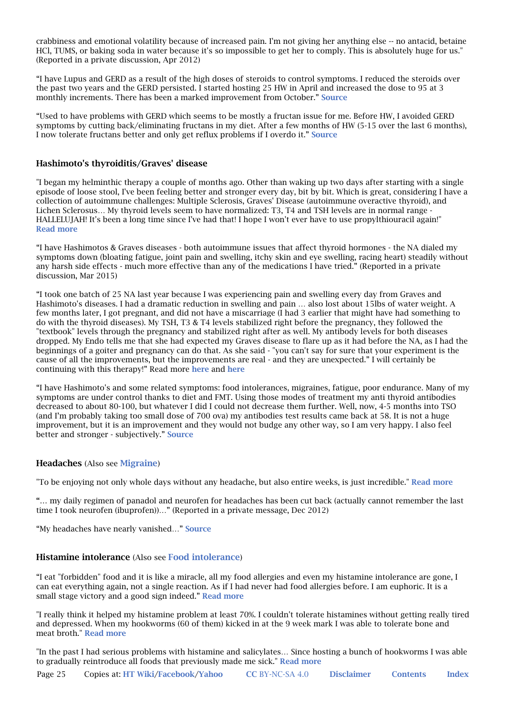crabbiness and emotional volatility because of increased pain. I'm not giving her anything else -- no antacid, betaine HCl, TUMS, or baking soda in water because it's so impossible to get her to comply. This is absolutely huge for us." (Reported in a private discussion, Apr 2012)

"I have Lupus and GERD as a result of the high doses of steroids to control symptoms. I reduced the steroids over the past two years and the GERD persisted. I started hosting 25 HW in April and increased the dose to 95 at 3 monthly increments. There has been a marked improvement from October." Source

"Used to have problems with GERD which seems to be mostly a fructan issue for me. Before HW, I avoided GERD symptoms by cutting back/eliminating fructans in my diet. After a few months of HW (5-15 over the last 6 months), I now tolerate fructans better and only get reflux problems if I overdo it." Source

### Hashimoto's thyroiditis/Graves' disease

"I began my helminthic therapy a couple of months ago. Other than waking up two days after starting with a single episode of loose stool, I've been feeling better and stronger every day, bit by bit. Which is great, considering I have a collection of autoimmune challenges: Multiple Sclerosis, Graves' Disease (autoimmune overactive thyroid), and Lichen Sclerosus… My thyroid levels seem to have normalized: T3, T4 and TSH levels are in normal range - HALLELUJAH! It's been a long time since I've had that! I hope I won't ever have to use propylthiouracil again!" Read more

"I have Hashimotos & Graves diseases - both autoimmune issues that affect thyroid hormones - the NA dialed my symptoms down (bloating fatigue, joint pain and swelling, itchy skin and eye swelling, racing heart) steadily without any harsh side effects - much more effective than any of the medications I have tried." (Reported in a private discussion, Mar 2015)

"I took one batch of 25 NA last year because I was experiencing pain and swelling every day from Graves and Hashimoto's diseases. I had a dramatic reduction in swelling and pain … also lost about 15lbs of water weight. A few months later, I got pregnant, and did not have a miscarriage (I had 3 earlier that might have had something to do with the thyroid diseases). My TSH, T3 & T4 levels stabilized right before the pregnancy, they followed the "textbook" levels through the pregnancy and stabilized right after as well. My antibody levels for both diseases dropped. My Endo tells me that she had expected my Graves disease to flare up as it had before the NA, as I had the beginnings of a goiter and pregnancy can do that. As she said - "you can't say for sure that your experiment is the cause of all the improvements, but the improvements are real - and they are unexpected." I will certainly be continuing with this therapy!" Read more here and here

"I have Hashimoto's and some related symptoms: food intolerances, migraines, fatigue, poor endurance. Many of my symptoms are under control thanks to diet and FMT. Using those modes of treatment my anti thyroid antibodies decreased to about 80-100, but whatever I did I could not decrease them further. Well, now, 4-5 months into TSO (and I'm probably taking too small dose of 700 ova) my antibodies test results came back at 58. It is not a huge improvement, but it is an improvement and they would not budge any other way, so I am very happy. I also feel better and stronger - subjectively." Source

#### Headaches (Also see Migraine)

"To be enjoying not only whole days without any headache, but also entire weeks, is just incredible." Read more

"… my daily regimen of panadol and neurofen for headaches has been cut back (actually cannot remember the last time I took neurofen (ibuprofen))…" (Reported in a private message, Dec 2012)

"My headaches have nearly vanished…" Source

#### Histamine intolerance (Also see Food intolerance)

"I eat "forbidden" food and it is like a miracle, all my food allergies and even my histamine intolerance are gone, I can eat everything again, not a single reaction. As if I had never had food allergies before. I am euphoric. It is a small stage victory and a good sign indeed." Read more

"I really think it helped my histamine problem at least 70%. I couldn't tolerate histamines without getting really tired and depressed. When my hookworms (60 of them) kicked in at the 9 week mark I was able to tolerate bone and meat broth." Read more

"In the past I had serious problems with histamine and salicylates… Since hosting a bunch of hookworms I was able to gradually reintroduce all foods that previously made me sick." Read more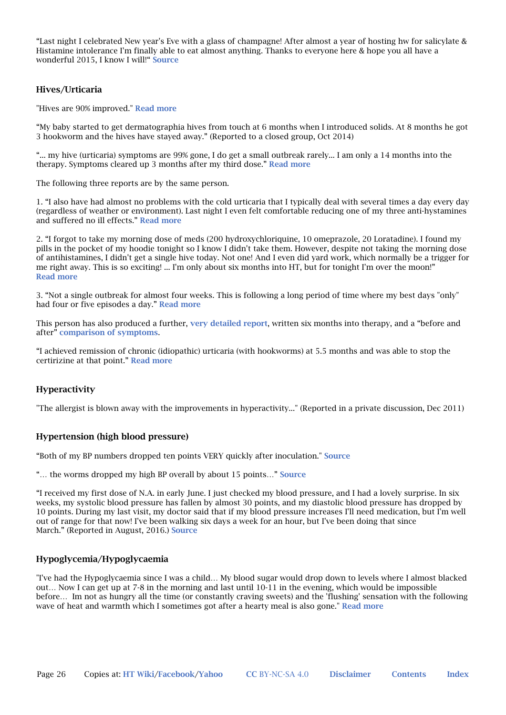"Last night I celebrated New year's Eve with a glass of champagne! After almost a year of hosting hw for salicylate & Histamine intolerance I'm finally able to eat almost anything. Thanks to everyone here & hope you all have a wonderful 2015, I know I will!" Source

### Hives/Urticaria

"Hives are 90% improved." Read more

"My baby started to get dermatographia hives from touch at 6 months when I introduced solids. At 8 months he got 3 hookworm and the hives have stayed away." (Reported to a closed group, Oct 2014)

"... my hive (urticaria) symptoms are 99% gone, I do get a small outbreak rarely... I am only a 14 months into the therapy. Symptoms cleared up 3 months after my third dose." Read more

The following three reports are by the same person.

1. "I also have had almost no problems with the cold urticaria that I typically deal with several times a day every day (regardless of weather or environment). Last night I even felt comfortable reducing one of my three anti-hystamines and suffered no ill effects." Read more

2. "I forgot to take my morning dose of meds (200 hydroxychloriquine, 10 omeprazole, 20 Loratadine). I found my pills in the pocket of my hoodie tonight so I know I didn't take them. However, despite not taking the morning dose of antihistamines, I didn't get a single hive today. Not one! And I even did yard work, which normally be a trigger for me right away. This is so exciting! ... I'm only about six months into HT, but for tonight I'm over the moon!" Read more

3. "Not a single outbreak for almost four weeks. This is following a long period of time where my best days "only" had four or five episodes a day." Read more

This person has also produced a further, very detailed report, written six months into therapy, and a "before and after" comparison of symptoms.

"I achieved remission of chronic (idiopathic) urticaria (with hookworms) at 5.5 months and was able to stop the certirizine at that point." Read more

### Hyperactivity

"The allergist is blown away with the improvements in hyperactivity..." (Reported in a private discussion, Dec 2011)

#### Hypertension (high blood pressure)

"Both of my BP numbers dropped ten points VERY quickly after inoculation." Source

"... the worms dropped my high BP overall by about 15 points..." Source

"I received my first dose of N.A. in early June. I just checked my blood pressure, and I had a lovely surprise. In six weeks, my systolic blood pressure has fallen by almost 30 points, and my diastolic blood pressure has dropped by 10 points. During my last visit, my doctor said that if my blood pressure increases I'll need medication, but I'm well out of range for that now! I've been walking six days a week for an hour, but I've been doing that since March." (Reported in August, 2016.) Source

#### Hypoglycemia/Hypoglycaemia

"I've had the Hypoglycaemia since I was a child… My blood sugar would drop down to levels where I almost blacked out… Now I can get up at 7-8 in the morning and last until 10-11 in the evening, which would be impossible before… Im not as hungry all the time (or constantly craving sweets) and the 'flushing' sensation with the following wave of heat and warmth which I sometimes got after a hearty meal is also gone." Read more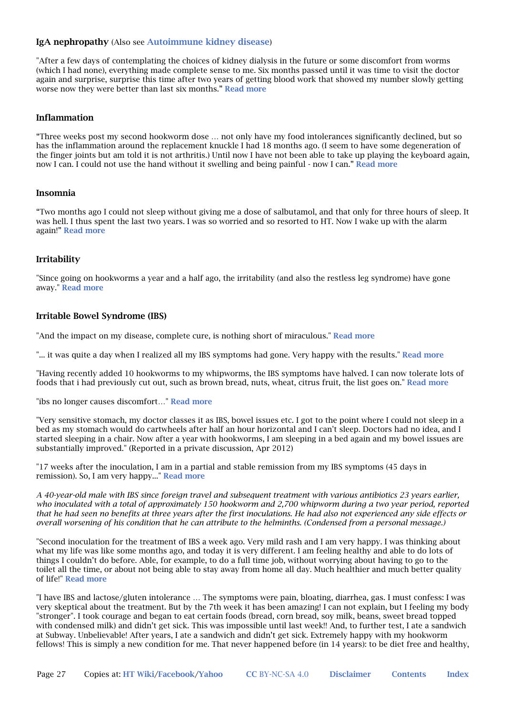#### IgA nephropathy (Also see Autoimmune kidney disease)

"After a few days of contemplating the choices of kidney dialysis in the future or some discomfort from worms (which I had none), everything made complete sense to me. Six months passed until it was time to visit the doctor again and surprise, surprise this time after two years of getting blood work that showed my number slowly getting worse now they were better than last six months." Read more

#### Inflammation

"Three weeks post my second hookworm dose … not only have my food intolerances significantly declined, but so has the inflammation around the replacement knuckle I had 18 months ago. (I seem to have some degeneration of the finger joints but am told it is not arthritis.) Until now I have not been able to take up playing the keyboard again, now I can. I could not use the hand without it swelling and being painful - now I can." Read more

#### Insomnia

"Two months ago I could not sleep without giving me a dose of salbutamol, and that only for three hours of sleep. It was hell. I thus spent the last two years. I was so worried and so resorted to HT. Now I wake up with the alarm again!" Read more

### Irritability

"Since going on hookworms a year and a half ago, the irritability (and also the restless leg syndrome) have gone away." Read more

#### Irritable Bowel Syndrome (IBS)

"And the impact on my disease, complete cure, is nothing short of miraculous." Read more

"... it was quite a day when I realized all my IBS symptoms had gone. Very happy with the results." Read more

"Having recently added 10 hookworms to my whipworms, the IBS symptoms have halved. I can now tolerate lots of foods that i had previously cut out, such as brown bread, nuts, wheat, citrus fruit, the list goes on." Read more

"ibs no longer causes discomfort…" Read more

"Very sensitive stomach, my doctor classes it as IBS, bowel issues etc. I got to the point where I could not sleep in a bed as my stomach would do cartwheels after half an hour horizontal and I can't sleep. Doctors had no idea, and I started sleeping in a chair. Now after a year with hookworms, I am sleeping in a bed again and my bowel issues are substantially improved." (Reported in a private discussion, Apr 2012)

"17 weeks after the inoculation, I am in a partial and stable remission from my IBS symptoms (45 days in remission). So, I am very happy..." Read more

*A 40-year-old male with IBS since foreign travel and subsequent treatment with various antibiotics 23 years earlier, who inoculated with a total of approximately 150 hookworm and 2,700 whipworm during a two year period, reported that he had seen no benefits at three years after the first inoculations. He had also not experienced any side effects or overall worsening of his condition that he can attribute to the helminths. (Condensed from a personal message.)*

"Second inoculation for the treatment of IBS a week ago. Very mild rash and I am very happy. I was thinking about what my life was like some months ago, and today it is very different. I am feeling healthy and able to do lots of things I couldn't do before. Able, for example, to do a full time job, without worrying about having to go to the toilet all the time, or about not being able to stay away from home all day. Much healthier and much better quality of life!" Read more

"I have IBS and lactose/gluten intolerance … The symptoms were pain, bloating, diarrhea, gas. I must confess: I was very skeptical about the treatment. But by the 7th week it has been amazing! I can not explain, but I feeling my body "stronger". I took courage and began to eat certain foods (bread, corn bread, soy milk, beans, sweet bread topped with condensed milk) and didn't get sick. This was impossible until last week!! And, to further test, I ate a sandwich at Subway. Unbelievable! After years, I ate a sandwich and didn't get sick. Extremely happy with my hookworm fellows! This is simply a new condition for me. That never happened before (in 14 years): to be diet free and healthy,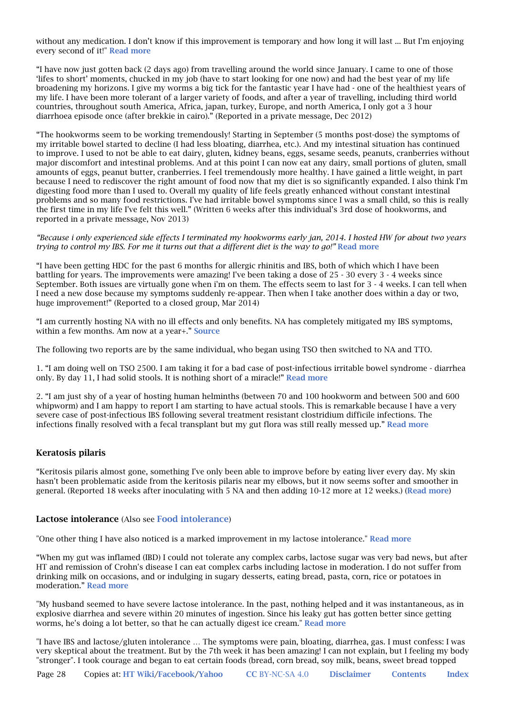without any medication. I don't know if this improvement is temporary and how long it will last ... But I'm enjoying every second of it!" Read more

"I have now just gotten back (2 days ago) from travelling around the world since January. I came to one of those 'lifes to short' moments, chucked in my job (have to start looking for one now) and had the best year of my life broadening my horizons. I give my worms a big tick for the fantastic year I have had - one of the healthiest years of my life. I have been more tolerant of a larger variety of foods, and after a year of travelling, including third world countries, throughout south America, Africa, japan, turkey, Europe, and north America, I only got a 3 hour diarrhoea episode once (after brekkie in cairo)." (Reported in a private message, Dec 2012)

"The hookworms seem to be working tremendously! Starting in September (5 months post-dose) the symptoms of my irritable bowel started to decline (I had less bloating, diarrhea, etc.). And my intestinal situation has continued to improve. I used to not be able to eat dairy, gluten, kidney beans, eggs, sesame seeds, peanuts, cranberries without major discomfort and intestinal problems. And at this point I can now eat any dairy, small portions of gluten, small amounts of eggs, peanut butter, cranberries. I feel tremendously more healthy. I have gained a little weight, in part because I need to rediscover the right amount of food now that my diet is so significantly expanded. I also think I'm digesting food more than I used to. Overall my quality of life feels greatly enhanced without constant intestinal problems and so many food restrictions. I've had irritable bowel symptoms since I was a small child, so this is really the first time in my life I've felt this well." (Written 6 weeks after this individual's 3rd dose of hookworms, and reported in a private message, Nov 2013)

*"Because i only experienced side effects I terminated my hookworms early jan, 2014. I hosted HW for about two years trying to control my IBS. For me it turns out that a different diet is the way to go!"* Read more

"I have been getting HDC for the past 6 months for allergic rhinitis and IBS, both of which which I have been battling for years. The improvements were amazing! I've been taking a dose of 25 - 30 every 3 - 4 weeks since September. Both issues are virtually gone when i'm on them. The effects seem to last for 3 - 4 weeks. I can tell when I need a new dose because my symptoms suddenly re-appear. Then when I take another does within a day or two, huge improvement!" (Reported to a closed group, Mar 2014)

"I am currently hosting NA with no ill effects and only benefits. NA has completely mitigated my IBS symptoms, within a few months. Am now at a year+." **Source** 

The following two reports are by the same individual, who began using TSO then switched to NA and TTO.

1. "I am doing well on TSO 2500. I am taking it for a bad case of post-infectious irritable bowel syndrome - diarrhea only. By day 11, I had solid stools. It is nothing short of a miracle!" Read more

2. "I am just shy of a year of hosting human helminths (between 70 and 100 hookworm and between 500 and 600 whipworm) and I am happy to report I am starting to have actual stools. This is remarkable because I have a very severe case of post-infectious IBS following several treatment resistant clostridium difficile infections. The infections finally resolved with a fecal transplant but my gut flora was still really messed up." Read more

### Keratosis pilaris

"Keritosis pilaris almost gone, something I've only been able to improve before by eating liver every day. My skin hasn't been problematic aside from the keritosis pilaris near my elbows, but it now seems softer and smoother in general. (Reported 18 weeks after inoculating with 5 NA and then adding 10-12 more at 12 weeks.) (Read more)

#### Lactose intolerance (Also see Food intolerance)

"One other thing I have also noticed is a marked improvement in my lactose intolerance." Read more

"When my gut was inflamed (IBD) I could not tolerate any complex carbs, lactose sugar was very bad news, but after HT and remission of Crohn's disease I can eat complex carbs including lactose in moderation. I do not suffer from drinking milk on occasions, and or indulging in sugary desserts, eating bread, pasta, corn, rice or potatoes in moderation." Read more

"My husband seemed to have severe lactose intolerance. In the past, nothing helped and it was instantaneous, as in explosive diarrhea and severe within 20 minutes of ingestion. Since his leaky gut has gotten better since getting worms, he's doing a lot better, so that he can actually digest ice cream." Read more

"I have IBS and lactose/gluten intolerance … The symptoms were pain, bloating, diarrhea, gas. I must confess: I was very skeptical about the treatment. But by the 7th week it has been amazing! I can not explain, but I feeling my body "stronger". I took courage and began to eat certain foods (bread, corn bread, soy milk, beans, sweet bread topped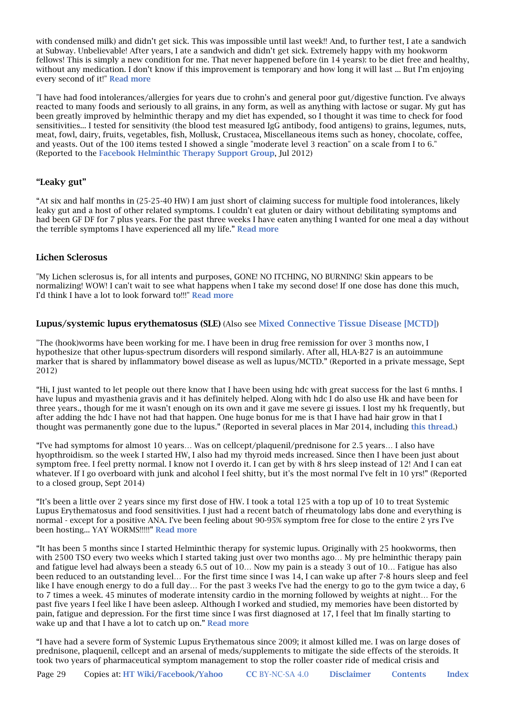with condensed milk) and didn't get sick. This was impossible until last week!! And, to further test, I ate a sandwich at Subway. Unbelievable! After years, I ate a sandwich and didn't get sick. Extremely happy with my hookworm fellows! This is simply a new condition for me. That never happened before (in 14 years): to be diet free and healthy, without any medication. I don't know if this improvement is temporary and how long it will last ... But I'm enjoying every second of it!" Read more

"I have had food intolerances/allergies for years due to crohn's and general poor gut/digestive function. I've always reacted to many foods and seriously to all grains, in any form, as well as anything with lactose or sugar. My gut has been greatly improved by helminthic therapy and my diet has expended, so I thought it was time to check for food sensitivities... I tested for sensitivity (the blood test measured IgG antibody, food antigens) to grains, legumes, nuts, meat, fowl, dairy, fruits, vegetables, fish, Mollusk, Crustacea, Miscellaneous items such as honey, chocolate, coffee, and yeasts. Out of the 100 items tested I showed a single "moderate level 3 reaction" on a scale from I to 6." (Reported to the Facebook Helminthic Therapy Support Group, Jul 2012)

### "Leaky gut"

"At six and half months in (25-25-40 HW) I am just short of claiming success for multiple food intolerances, likely leaky gut and a host of other related symptoms. I couldn't eat gluten or dairy without debilitating symptoms and had been GF DF for 7 plus years. For the past three weeks I have eaten anything I wanted for one meal a day without the terrible symptoms I have experienced all my life." Read more

### Lichen Sclerosus

"My Lichen sclerosus is, for all intents and purposes, GONE! NO ITCHING, NO BURNING! Skin appears to be normalizing! WOW! I can't wait to see what happens when I take my second dose! If one dose has done this much, I'd think I have a lot to look forward to!!!" Read more

#### Lupus/systemic lupus erythematosus (SLE) (Also see Mixed Connective Tissue Disease [MCTD])

"The (hook)worms have been working for me. I have been in drug free remission for over 3 months now, I hypothesize that other lupus-spectrum disorders will respond similarly. After all, HLA-B27 is an autoimmune marker that is shared by inflammatory bowel disease as well as lupus/MCTD." (Reported in a private message, Sept 2012)

"Hi, I just wanted to let people out there know that I have been using hdc with great success for the last 6 mnths. I have lupus and myasthenia gravis and it has definitely helped. Along with hdc I do also use Hk and have been for three years., though for me it wasn't enough on its own and it gave me severe gi issues. I lost my hk frequently, but after adding the hdc I have not had that happen. One huge bonus for me is that I have had hair grow in that I thought was permanently gone due to the lupus." (Reported in several places in Mar 2014, including this thread.)

"I've had symptoms for almost 10 years… Was on cellcept/plaquenil/prednisone for 2.5 years… I also have hyopthroidism. so the week I started HW, I also had my thyroid meds increased. Since then I have been just about symptom free. I feel pretty normal. I know not I overdo it. I can get by with 8 hrs sleep instead of 12! And I can eat whatever. If I go overboard with junk and alcohol I feel shitty, but it's the most normal I've felt in 10 yrs!" (Reported to a closed group, Sept 2014)

"It's been a little over 2 years since my first dose of HW. I took a total 125 with a top up of 10 to treat Systemic Lupus Erythematosus and food sensitivities. I just had a recent batch of rheumatology labs done and everything is normal - except for a positive ANA. I've been feeling about 90-95% symptom free for close to the entire 2 yrs I've been hosting... YAY WORMS!!!!!" Read more

"It has been 5 months since I started Helminthic therapy for systemic lupus. Originally with 25 hookworms, then with 2500 TSO every two weeks which I started taking just over two months ago... My pre helminthic therapy pain and fatigue level had always been a steady 6.5 out of 10… Now my pain is a steady 3 out of 10… Fatigue has also been reduced to an outstanding level… For the first time since I was 14, I can wake up after 7-8 hours sleep and feel like I have enough energy to do a full day… For the past 3 weeks I've had the energy to go to the gym twice a day, 6 to 7 times a week. 45 minutes of moderate intensity cardio in the morning followed by weights at night… For the past five years I feel like I have been asleep. Although I worked and studied, my memories have been distorted by pain, fatigue and depression. For the first time since I was first diagnosed at 17, I feel that Im finally starting to wake up and that I have a lot to catch up on." Read more

"I have had a severe form of Systemic Lupus Erythematous since 2009; it almost killed me. I was on large doses of prednisone, plaquenil, cellcept and an arsenal of meds/supplements to mitigate the side effects of the steroids. It took two years of pharmaceutical symptom management to stop the roller coaster ride of medical crisis and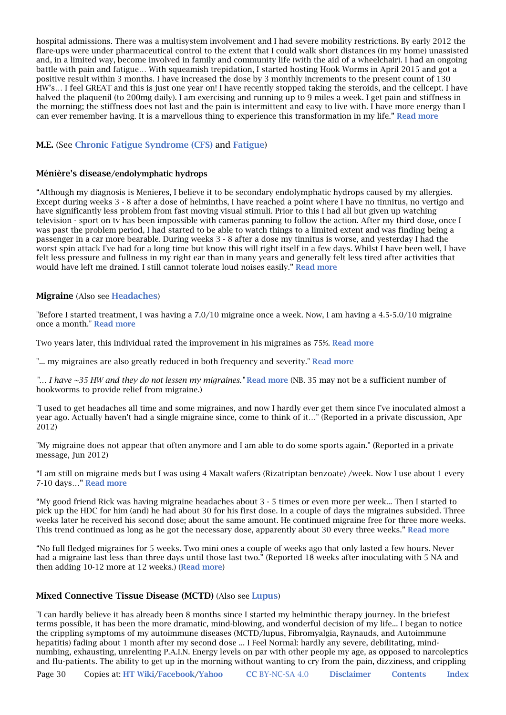hospital admissions. There was a multisystem involvement and I had severe mobility restrictions. By early 2012 the flare-ups were under pharmaceutical control to the extent that I could walk short distances (in my home) unassisted and, in a limited way, become involved in family and community life (with the aid of a wheelchair). I had an ongoing battle with pain and fatigue… With squeamish trepidation, I started hosting Hook Worms in April 2015 and got a positive result within 3 months. I have increased the dose by 3 monthly increments to the present count of 130 HW's… I feel GREAT and this is just one year on! I have recently stopped taking the steroids, and the cellcept. I have halved the plaquenil (to 200mg daily). I am exercising and running up to 9 miles a week. I get pain and stiffness in the morning; the stiffness does not last and the pain is intermittent and easy to live with. I have more energy than I can ever remember having. It is a marvellous thing to experience this transformation in my life." Read more

### M.E. (See Chronic Fatigue Syndrome (CFS) and Fatigue)

#### Ménière's disease/endolymphatic hydrops

"Although my diagnosis is Menieres, I believe it to be secondary endolymphatic hydrops caused by my allergies. Except during weeks 3 - 8 after a dose of helminths, I have reached a point where I have no tinnitus, no vertigo and have significantly less problem from fast moving visual stimuli. Prior to this I had all but given up watching television - sport on tv has been impossible with cameras panning to follow the action. After my third dose, once I was past the problem period, I had started to be able to watch things to a limited extent and was finding being a passenger in a car more bearable. During weeks 3 - 8 after a dose my tinnitus is worse, and yesterday I had the worst spin attack I've had for a long time but know this will right itself in a few days. Whilst I have been well, I have felt less pressure and fullness in my right ear than in many years and generally felt less tired after activities that would have left me drained. I still cannot tolerate loud noises easily." Read more

#### Migraine (Also see Headaches)

"Before I started treatment, I was having a 7.0/10 migraine once a week. Now, I am having a 4.5-5.0/10 migraine once a month." Read more

Two years later, this individual rated the improvement in his migraines as 75%. Read more

"... my migraines are also greatly reduced in both frequency and severity." Read more

"... I have ~35 HW and they do not lessen my migraines." Read more (NB. 35 may not be a sufficient number of hookworms to provide relief from migraine.)

"I used to get headaches all time and some migraines, and now I hardly ever get them since I've inoculated almost a year ago. Actually haven't had a single migraine since, come to think of it…" (Reported in a private discussion, Apr 2012)

"My migraine does not appear that often anymore and I am able to do some sports again." (Reported in a private message, Jun 2012)

"I am still on migraine meds but I was using 4 Maxalt wafers (Rizatriptan benzoate) /week. Now I use about 1 every 7-10 days…" Read more

"My good friend Rick was having migraine headaches about 3 - 5 times or even more per week... Then I started to pick up the HDC for him (and) he had about 30 for his first dose. In a couple of days the migraines subsided. Three weeks later he received his second dose; about the same amount. He continued migraine free for three more weeks. This trend continued as long as he got the necessary dose, apparently about 30 every three weeks." Read more

"No full fledged migraines for 5 weeks. Two mini ones a couple of weeks ago that only lasted a few hours. Never had a migraine last less than three days until those last two." (Reported 18 weeks after inoculating with 5 NA and then adding 10-12 more at 12 weeks.) (Read more)

#### Mixed Connective Tissue Disease (MCTD) (Also see Lupus)

"I can hardly believe it has already been 8 months since I started my helminthic therapy journey. In the briefest terms possible, it has been the more dramatic, mind-blowing, and wonderful decision of my life... I began to notice the crippling symptoms of my autoimmune diseases (MCTD/lupus, Fibromyalgia, Raynauds, and Autoimmune hepatitis) fading about 1 month after my second dose ... I Feel Normal: hardly any severe, debilitating, mindnumbing, exhausting, unrelenting P.A.I.N. Energy levels on par with other people my age, as opposed to narcoleptics and flu-patients. The ability to get up in the morning without wanting to cry from the pain, dizziness, and crippling

Page 30 Copies at: HT Wiki/Facebook/Yahoo CC BY-NC-SA 4.0 Disclaimer Contents Index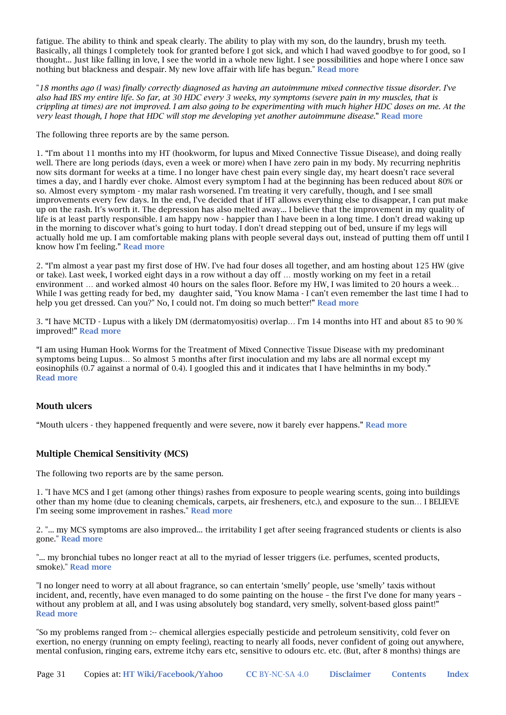fatigue. The ability to think and speak clearly. The ability to play with my son, do the laundry, brush my teeth. Basically, all things I completely took for granted before I got sick, and which I had waved goodbye to for good, so I thought... Just like falling in love, I see the world in a whole new light. I see possibilities and hope where I once saw nothing but blackness and despair. My new love affair with life has begun." Read more

"*18 months ago (I was) finally correctly diagnosed as having an autoimmune mixed connective tissue disorder. I've also had IBS my entire life. So far, at 30 HDC every 3 weeks, my symptoms (severe pain in my muscles, that is crippling at times) are not improved. I am also going to be experimenting with much higher HDC doses on me. At the very least though, I hope that HDC will stop me developing yet another autoimmune disease.*" Read more

The following three reports are by the same person.

1. "I'm about 11 months into my HT (hookworm, for lupus and Mixed Connective Tissue Disease), and doing really well. There are long periods (days, even a week or more) when I have zero pain in my body. My recurring nephritis now sits dormant for weeks at a time. I no longer have chest pain every single day, my heart doesn't race several times a day, and I hardly ever choke. Almost every symptom I had at the beginning has been reduced about 80% or so. Almost every symptom - my malar rash worsened. I'm treating it very carefully, though, and I see small improvements every few days. In the end, I've decided that if HT allows everything else to disappear, I can put make up on the rash. It's worth it. The depression has also melted away... I believe that the improvement in my quality of life is at least partly responsible. I am happy now - happier than I have been in a long time. I don't dread waking up in the morning to discover what's going to hurt today. I don't dread stepping out of bed, unsure if my legs will actually hold me up. I am comfortable making plans with people several days out, instead of putting them off until I know how I'm feeling." Read more

2. "I'm almost a year past my first dose of HW. I've had four doses all together, and am hosting about 125 HW (give or take). Last week, I worked eight days in a row without a day off … mostly working on my feet in a retail environment ... and worked almost 40 hours on the sales floor. Before my HW, I was limited to 20 hours a week... While I was getting ready for bed, my daughter said, "You know Mama - I can't even remember the last time I had to help you get dressed. Can you?" No, I could not. I'm doing so much better!" Read more

3. "I have MCTD - Lupus with a likely DM (dermatomyositis) overlap… I'm 14 months into HT and about 85 to 90 % improved!" Read more

"I am using Human Hook Worms for the Treatment of Mixed Connective Tissue Disease with my predominant symptoms being Lupus… So almost 5 months after first inoculation and my labs are all normal except my eosinophils (0.7 against a normal of 0.4). I googled this and it indicates that I have helminths in my body." Read more

### Mouth ulcers

"Mouth ulcers - they happened frequently and were severe, now it barely ever happens." Read more

### Multiple Chemical Sensitivity (MCS)

The following two reports are by the same person.

1. "I have MCS and I get (among other things) rashes from exposure to people wearing scents, going into buildings other than my home (due to cleaning chemicals, carpets, air fresheners, etc.), and exposure to the sun… I BELIEVE I'm seeing some improvement in rashes." Read more

2. "... my MCS symptoms are also improved... the irritability I get after seeing fragranced students or clients is also gone." Read more

"... my bronchial tubes no longer react at all to the myriad of lesser triggers (i.e. perfumes, scented products, smoke)." Read more

"I no longer need to worry at all about fragrance, so can entertain 'smelly' people, use 'smelly' taxis without incident, and, recently, have even managed to do some painting on the house – the first I've done for many years – without any problem at all, and I was using absolutely bog standard, very smelly, solvent-based gloss paint!" Read more

"So my problems ranged from :-- chemical allergies especially pesticide and petroleum sensitivity, cold fever on exertion, no energy (running on empty feeling), reacting to nearly all foods, never confident of going out anywhere, mental confusion, ringing ears, extreme itchy ears etc, sensitive to odours etc. etc. (But, after 8 months) things are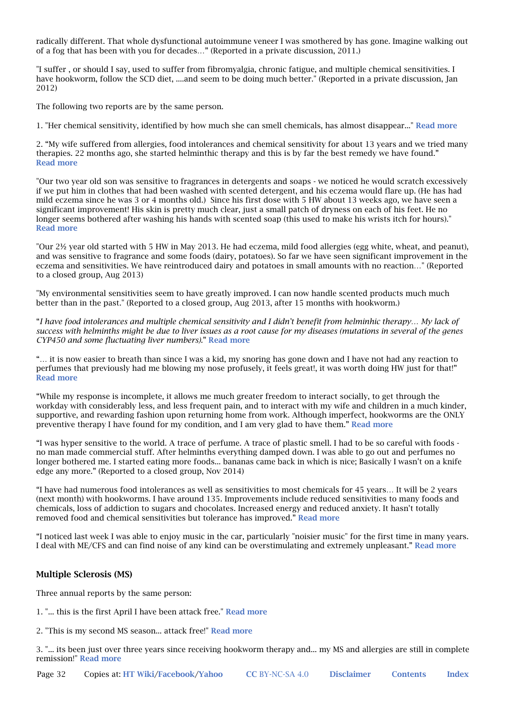radically different. That whole dysfunctional autoimmune veneer I was smothered by has gone. Imagine walking out of a fog that has been with you for decades…" (Reported in a private discussion, 2011.)

"I suffer , or should I say, used to suffer from fibromyalgia, chronic fatigue, and multiple chemical sensitivities. I have hookworm, follow the SCD diet, ....and seem to be doing much better." (Reported in a private discussion, Jan 2012)

The following two reports are by the same person.

1. "Her chemical sensitivity, identified by how much she can smell chemicals, has almost disappear..." Read more

2. "My wife suffered from allergies, food intolerances and chemical sensitivity for about 13 years and we tried many therapies. 22 months ago, she started helminthic therapy and this is by far the best remedy we have found." Read more

"Our two year old son was sensitive to fragrances in detergents and soaps - we noticed he would scratch excessively if we put him in clothes that had been washed with scented detergent, and his eczema would flare up. (He has had mild eczema since he was 3 or 4 months old.) Since his first dose with 5 HW about 13 weeks ago, we have seen a significant improvement! His skin is pretty much clear, just a small patch of dryness on each of his feet. He no longer seems bothered after washing his hands with scented soap (this used to make his wrists itch for hours)." Read more

"Our 2½ year old started with 5 HW in May 2013. He had eczema, mild food allergies (egg white, wheat, and peanut), and was sensitive to fragrance and some foods (dairy, potatoes). So far we have seen significant improvement in the eczema and sensitivities. We have reintroduced dairy and potatoes in small amounts with no reaction…" (Reported to a closed group, Aug 2013)

"My environmental sensitivities seem to have greatly improved. I can now handle scented products much much better than in the past." (Reported to a closed group, Aug 2013, after 15 months with hookworm.)

"*I have food intolerances and multiple chemical sensitivity and I didn't benefit from helminhic therapy… My lack of success with helminths might be due to liver issues as a root cause for my diseases (mutations in several of the genes CYP450 and some fluctuating liver numbers).*" Read more

"… it is now easier to breath than since I was a kid, my snoring has gone down and I have not had any reaction to perfumes that previously had me blowing my nose profusely, it feels great!, it was worth doing HW just for that!" Read more

"While my response is incomplete, it allows me much greater freedom to interact socially, to get through the workday with considerably less, and less frequent pain, and to interact with my wife and children in a much kinder, supportive, and rewarding fashion upon returning home from work. Although imperfect, hookworms are the ONLY preventive therapy I have found for my condition, and I am very glad to have them." Read more

"I was hyper sensitive to the world. A trace of perfume. A trace of plastic smell. I had to be so careful with foods no man made commercial stuff. After helminths everything damped down. I was able to go out and perfumes no longer bothered me. I started eating more foods... bananas came back in which is nice; Basically I wasn't on a knife edge any more." (Reported to a closed group, Nov 2014)

"I have had numerous food intolerances as well as sensitivities to most chemicals for 45 years… It will be 2 years (next month) with hookworms. I have around 135. Improvements include reduced sensitivities to many foods and chemicals, loss of addiction to sugars and chocolates. Increased energy and reduced anxiety. It hasn't totally removed food and chemical sensitivities but tolerance has improved." Read more

"I noticed last week I was able to enjoy music in the car, particularly "noisier music" for the first time in many years. I deal with ME/CFS and can find noise of any kind can be overstimulating and extremely unpleasant." Read more

### Multiple Sclerosis (MS)

Three annual reports by the same person:

1. "... this is the first April I have been attack free." Read more

2. "This is my second MS season... attack free!" Read more

3. "... its been just over three years since receiving hookworm therapy and... my MS and allergies are still in complete remission!" Read more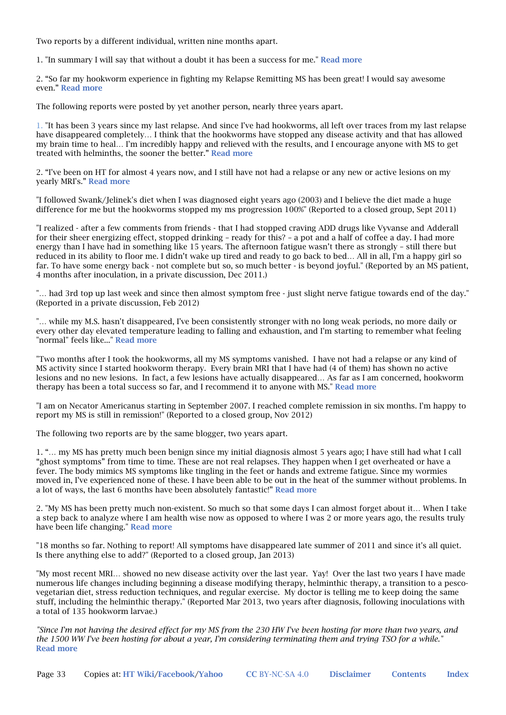Two reports by a different individual, written nine months apart.

1. "In summary I will say that without a doubt it has been a success for me." Read more

2. "So far my hookworm experience in fighting my Relapse Remitting MS has been great! I would say awesome even." Read more

The following reports were posted by yet another person, nearly three years apart.

1. "It has been 3 years since my last relapse. And since I've had hookworms, all left over traces from my last relapse have disappeared completely… I think that the hookworms have stopped any disease activity and that has allowed my brain time to heal… I'm incredibly happy and relieved with the results, and I encourage anyone with MS to get treated with helminths, the sooner the better." Read more

2. "I've been on HT for almost 4 years now, and I still have not had a relapse or any new or active lesions on my yearly MRI's." Read more

"I followed Swank/Jelinek's diet when I was diagnosed eight years ago (2003) and I believe the diet made a huge difference for me but the hookworms stopped my ms progression 100%" (Reported to a closed group, Sept 2011)

"I realized - after a few comments from friends - that I had stopped craving ADD drugs like Vyvanse and Adderall for their sheer energizing effect, stopped drinking – ready for this? – a pot and a half of coffee a day. I had more energy than I have had in something like 15 years. The afternoon fatigue wasn't there as strongly – still there but reduced in its ability to floor me. I didn't wake up tired and ready to go back to bed… All in all, I'm a happy girl so far. To have some energy back - not complete but so, so much better - is beyond joyful." (Reported by an MS patient, 4 months after inoculation, in a private discussion, Dec 2011.)

"… had 3rd top up last week and since then almost symptom free - just slight nerve fatigue towards end of the day." (Reported in a private discussion, Feb 2012)

"… while my M.S. hasn't disappeared, I've been consistently stronger with no long weak periods, no more daily or every other day elevated temperature leading to falling and exhaustion, and I'm starting to remember what feeling "normal" feels like..." Read more

"Two months after I took the hookworms, all my MS symptoms vanished. I have not had a relapse or any kind of MS activity since I started hookworm therapy. Every brain MRI that I have had (4 of them) has shown no active lesions and no new lesions. In fact, a few lesions have actually disappeared… As far as I am concerned, hookworm therapy has been a total success so far, and I recommend it to anyone with MS." Read more

"I am on Necator Americanus starting in September 2007. I reached complete remission in six months. I'm happy to report my MS is still in remission!" (Reported to a closed group, Nov 2012)

The following two reports are by the same blogger, two years apart.

1. "… my MS has pretty much been benign since my initial diagnosis almost 5 years ago; I have still had what I call "ghost symptoms" from time to time. These are not real relapses. They happen when I get overheated or have a fever. The body mimics MS symptoms like tingling in the feet or hands and extreme fatigue. Since my wormies moved in, I've experienced none of these. I have been able to be out in the heat of the summer without problems. In a lot of ways, the last 6 months have been absolutely fantastic!" Read more

2. "My MS has been pretty much non-existent. So much so that some days I can almost forget about it… When I take a step back to analyze where I am health wise now as opposed to where I was 2 or more years ago, the results truly have been life changing." Read more

"18 months so far. Nothing to report! All symptoms have disappeared late summer of 2011 and since it's all quiet. Is there anything else to add?" (Reported to a closed group, Jan 2013)

"My most recent MRI… showed no new disease activity over the last year. Yay! Over the last two years I have made numerous life changes including beginning a disease modifying therapy, helminthic therapy, a transition to a pescovegetarian diet, stress reduction techniques, and regular exercise. My doctor is telling me to keep doing the same stuff, including the helminthic therapy." (Reported Mar 2013, two years after diagnosis, following inoculations with a total of 135 hookworm larvae.)

*"Since I'm not having the desired effect for my MS from the 230 HW I've been hosting for more than two years, and the 1500 WW I've been hosting for about a year, I'm considering terminating them and trying TSO for a while."*  Read more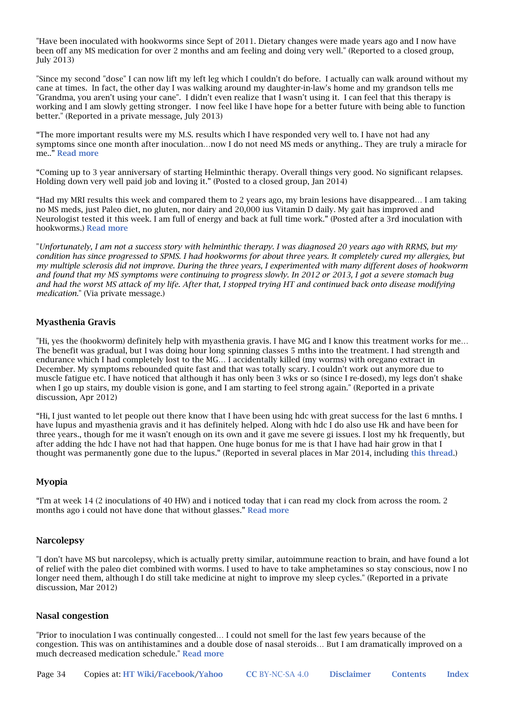"Have been inoculated with hookworms since Sept of 2011. Dietary changes were made years ago and I now have been off any MS medication for over 2 months and am feeling and doing very well." (Reported to a closed group, July 2013)

"Since my second "dose" I can now lift my left leg which I couldn't do before. I actually can walk around without my cane at times. In fact, the other day I was walking around my daughter-in-law's home and my grandson tells me "Grandma, you aren't using your cane". I didn't even realize that I wasn't using it. I can feel that this therapy is working and I am slowly getting stronger. I now feel like I have hope for a better future with being able to function better." (Reported in a private message, July 2013)

"The more important results were my M.S. results which I have responded very well to. I have not had any symptoms since one month after inoculation…now I do not need MS meds or anything.. They are truly a miracle for me.." Read more

"Coming up to 3 year anniversary of starting Helminthic therapy. Overall things very good. No significant relapses. Holding down very well paid job and loving it." (Posted to a closed group, Jan 2014)

"Had my MRI results this week and compared them to 2 years ago, my brain lesions have disappeared… I am taking no MS meds, just Paleo diet, no gluten, nor dairy and 20,000 ius Vitamin D daily. My gait has improved and Neurologist tested it this week. I am full of energy and back at full time work." (Posted after a 3rd inoculation with hookworms.) Read more

"*Unfortunately, I am not a success story with helminthic therapy. I was diagnosed 20 years ago with RRMS, but my condition has since progressed to SPMS. I had hookworms for about three years. It completely cured my allergies, but my multiple sclerosis did not improve. During the three years, I experimented with many different doses of hookworm and found that my MS symptoms were continuing to progress slowly. In 2012 or 2013, I got a severe stomach bug and had the worst MS attack of my life. After that, I stopped trying HT and continued back onto disease modifying medication.*" (Via private message.)

### Myasthenia Gravis

"Hi, yes the (hookworm) definitely help with myasthenia gravis. I have MG and I know this treatment works for me… The benefit was gradual, but I was doing hour long spinning classes 5 mths into the treatment. I had strength and endurance which I had completely lost to the MG… I accidentally killed (my worms) with oregano extract in December. My symptoms rebounded quite fast and that was totally scary. I couldn't work out anymore due to muscle fatigue etc. I have noticed that although it has only been 3 wks or so (since I re-dosed), my legs don't shake when I go up stairs, my double vision is gone, and I am starting to feel strong again." (Reported in a private discussion, Apr 2012)

"Hi, I just wanted to let people out there know that I have been using hdc with great success for the last 6 mnths. I have lupus and myasthenia gravis and it has definitely helped. Along with hdc I do also use Hk and have been for three years., though for me it wasn't enough on its own and it gave me severe gi issues. I lost my hk frequently, but after adding the hdc I have not had that happen. One huge bonus for me is that I have had hair grow in that I thought was permanently gone due to the lupus." (Reported in several places in Mar 2014, including this thread.)

### Myopia

"I'm at week 14 (2 inoculations of 40 HW) and i noticed today that i can read my clock from across the room. 2 months ago i could not have done that without glasses." Read more

#### **Narcolepsy**

"I don't have MS but narcolepsy, which is actually pretty similar, autoimmune reaction to brain, and have found a lot of relief with the paleo diet combined with worms. I used to have to take amphetamines so stay conscious, now I no longer need them, although I do still take medicine at night to improve my sleep cycles." (Reported in a private discussion, Mar 2012)

#### Nasal congestion

"Prior to inoculation I was continually congested… I could not smell for the last few years because of the congestion. This was on antihistamines and a double dose of nasal steroids… But I am dramatically improved on a much decreased medication schedule." Read more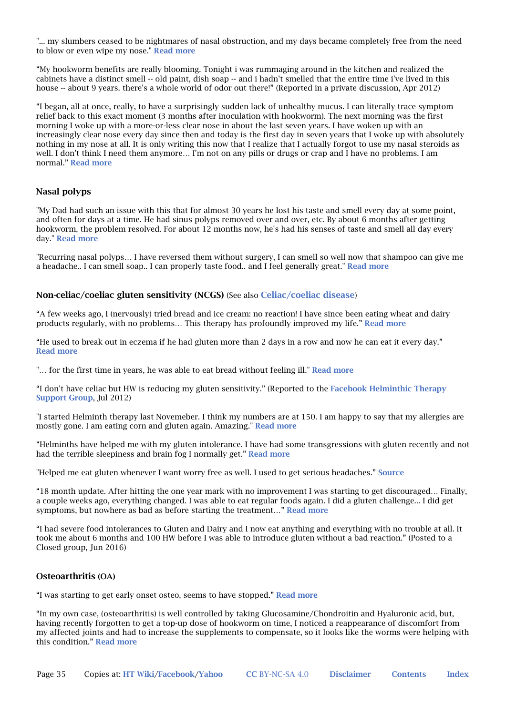"... mv slumbers ceased to be nightmares of nasal obstruction, and my days became completely free from the need to blow or even wipe my nose." Read more

"My hookworm benefits are really blooming. Tonight i was rummaging around in the kitchen and realized the cabinets have a distinct smell -- old paint, dish soap -- and i hadn't smelled that the entire time i've lived in this house -- about 9 years. there's a whole world of odor out there!" (Reported in a private discussion, Apr 2012)

"I began, all at once, really, to have a surprisingly sudden lack of unhealthy mucus. I can literally trace symptom relief back to this exact moment (3 months after inoculation with hookworm). The next morning was the first morning I woke up with a more-or-less clear nose in about the last seven years. I have woken up with an increasingly clear nose every day since then and today is the first day in seven years that I woke up with absolutely nothing in my nose at all. It is only writing this now that I realize that I actually forgot to use my nasal steroids as well. I don't think I need them anymore... I'm not on any pills or drugs or crap and I have no problems. I am normal." Read more

### Nasal polyps

"My Dad had such an issue with this that for almost 30 years he lost his taste and smell every day at some point, and often for days at a time. He had sinus polyps removed over and over, etc. By about 6 months after getting hookworm, the problem resolved. For about 12 months now, he's had his senses of taste and smell all day every day." Read more

"Recurring nasal polyps… I have reversed them without surgery, I can smell so well now that shampoo can give me a headache.. I can smell soap.. I can properly taste food.. and I feel generally great." Read more

#### Non-celiac/coeliac gluten sensitivity (NCGS) (See also Celiac/coeliac disease)

"A few weeks ago, I (nervously) tried bread and ice cream: no reaction! I have since been eating wheat and dairy products regularly, with no problems… This therapy has profoundly improved my life." Read more

"He used to break out in eczema if he had gluten more than 2 days in a row and now he can eat it every day." Read more

"... for the first time in years, he was able to eat bread without feeling ill." Read more

"I don't have celiac but HW is reducing my gluten sensitivity." (Reported to the Facebook Helminthic Therapy Support Group, Jul 2012)

"I started Helminth therapy last Novemeber. I think my numbers are at 150. I am happy to say that my allergies are mostly gone. I am eating corn and gluten again. Amazing." Read more

"Helminths have helped me with my gluten intolerance. I have had some transgressions with gluten recently and not had the terrible sleepiness and brain fog I normally get." Read more

"Helped me eat gluten whenever I want worry free as well. I used to get serious headaches." Source

"18 month update. After hitting the one year mark with no improvement I was starting to get discouraged… Finally, a couple weeks ago, everything changed. I was able to eat regular foods again. I did a gluten challenge... I did get symptoms, but nowhere as bad as before starting the treatment..." Read more

"I had severe food intolerances to Gluten and Dairy and I now eat anything and everything with no trouble at all. It took me about 6 months and 100 HW before I was able to introduce gluten without a bad reaction." (Posted to a Closed group, Jun 2016)

#### Osteoarthritis (OA)

"I was starting to get early onset osteo, seems to have stopped." Read more

"In my own case, (osteoarthritis) is well controlled by taking Glucosamine/Chondroitin and Hyaluronic acid, but, having recently forgotten to get a top-up dose of hookworm on time, I noticed a reappearance of discomfort from my affected joints and had to increase the supplements to compensate, so it looks like the worms were helping with this condition." Read more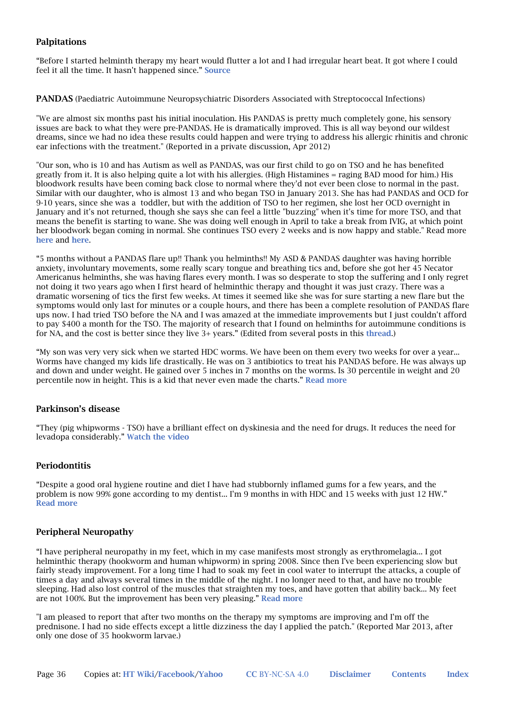### Palpitations

"Before I started helminth therapy my heart would flutter a lot and I had irregular heart beat. It got where I could feel it all the time. It hasn't happened since." Source

PANDAS (Paediatric Autoimmune Neuropsychiatric Disorders Associated with Streptococcal Infections)

"We are almost six months past his initial inoculation. His PANDAS is pretty much completely gone, his sensory issues are back to what they were pre-PANDAS. He is dramatically improved. This is all way beyond our wildest dreams, since we had no idea these results could happen and were trying to address his allergic rhinitis and chronic ear infections with the treatment." (Reported in a private discussion, Apr 2012)

"Our son, who is 10 and has Autism as well as PANDAS, was our first child to go on TSO and he has benefited greatly from it. It is also helping quite a lot with his allergies. (High Histamines = raging BAD mood for him.) His bloodwork results have been coming back close to normal where they'd not ever been close to normal in the past. Similar with our daughter, who is almost 13 and who began TSO in January 2013. She has had PANDAS and OCD for 9-10 years, since she was a toddler, but with the addition of TSO to her regimen, she lost her OCD overnight in January and it's not returned, though she says she can feel a little "buzzing" when it's time for more TSO, and that means the benefit is starting to wane. She was doing well enough in April to take a break from IVIG, at which point her bloodwork began coming in normal. She continues TSO every 2 weeks and is now happy and stable." Read more here and here.

"5 months without a PANDAS flare up!! Thank you helminths!! My ASD & PANDAS daughter was having horrible anxiety, involuntary movements, some really scary tongue and breathing tics and, before she got her 45 Necator Americanus helminths, she was having flares every month. I was so desperate to stop the suffering and I only regret not doing it two years ago when I first heard of helminthic therapy and thought it was just crazy. There was a dramatic worsening of tics the first few weeks. At times it seemed like she was for sure starting a new flare but the symptoms would only last for minutes or a couple hours, and there has been a complete resolution of PANDAS flare ups now. I had tried TSO before the NA and I was amazed at the immediate improvements but I just couldn't afford to pay \$400 a month for the TSO. The majority of research that I found on helminths for autoimmune conditions is for NA, and the cost is better since they live 3+ years." (Edited from several posts in this thread.)

"My son was very very sick when we started HDC worms. We have been on them every two weeks for over a year... Worms have changed my kids life drastically. He was on 3 antibiotics to treat his PANDAS before. He was always up and down and under weight. He gained over 5 inches in 7 months on the worms. Is 30 percentile in weight and 20 percentile now in height. This is a kid that never even made the charts." Read more

### Parkinson's disease

"They (pig whipworms - TSO) have a brilliant effect on dyskinesia and the need for drugs. It reduces the need for levadopa considerably." Watch the video

### Periodontitis

"Despite a good oral hygiene routine and diet I have had stubbornly inflamed gums for a few years, and the problem is now 99% gone according to my dentist... I'm 9 months in with HDC and 15 weeks with just 12 HW." Read more

#### Peripheral Neuropathy

"I have peripheral neuropathy in my feet, which in my case manifests most strongly as erythromelagia... I got helminthic therapy (hookworm and human whipworm) in spring 2008. Since then I've been experiencing slow but fairly steady improvement. For a long time I had to soak my feet in cool water to interrupt the attacks, a couple of times a day and always several times in the middle of the night. I no longer need to that, and have no trouble sleeping. Had also lost control of the muscles that straighten my toes, and have gotten that ability back... My feet are not 100%. But the improvement has been very pleasing." Read more

"I am pleased to report that after two months on the therapy my symptoms are improving and I'm off the prednisone. I had no side effects except a little dizziness the day I applied the patch." (Reported Mar 2013, after only one dose of 35 hookworm larvae.)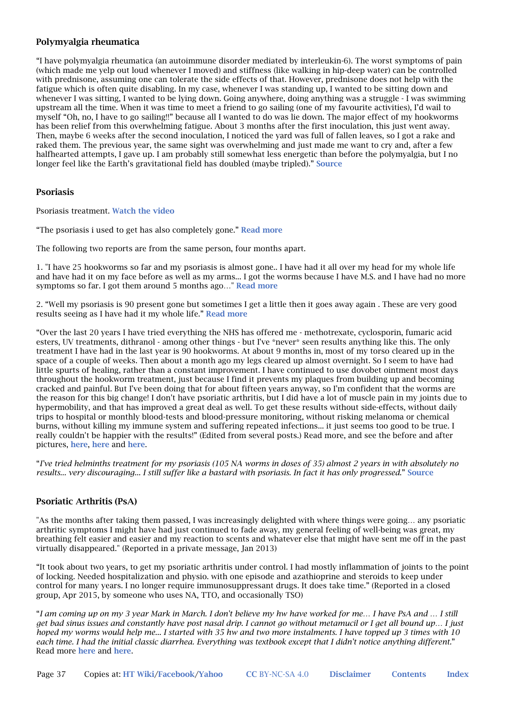### Polymyalgia rheumatica

"I have polymyalgia rheumatica (an autoimmune disorder mediated by interleukin-6). The worst symptoms of pain (which made me yelp out loud whenever I moved) and stiffness (like walking in hip-deep water) can be controlled with prednisone, assuming one can tolerate the side effects of that. However, prednisone does not help with the fatigue which is often quite disabling. In my case, whenever I was standing up, I wanted to be sitting down and whenever I was sitting, I wanted to be lying down. Going anywhere, doing anything was a struggle - I was swimming upstream all the time. When it was time to meet a friend to go sailing (one of my favourite activities), I'd wail to myself "Oh, no, I have to go sailing!!" because all I wanted to do was lie down. The major effect of my hookworms has been relief from this overwhelming fatigue. About 3 months after the first inoculation, this just went away. Then, maybe 6 weeks after the second inoculation, I noticed the yard was full of fallen leaves, so I got a rake and raked them. The previous year, the same sight was overwhelming and just made me want to cry and, after a few halfhearted attempts, I gave up. I am probably still somewhat less energetic than before the polymyalgia, but I no longer feel like the Earth's gravitational field has doubled (maybe tripled)." Source

#### Psoriasis

Psoriasis treatment. Watch the video

"The psoriasis i used to get has also completely gone." Read more

The following two reports are from the same person, four months apart.

1. "I have 25 hookworms so far and my psoriasis is almost gone.. I have had it all over my head for my whole life and have had it on my face before as well as my arms... I got the worms because I have M.S. and I have had no more symptoms so far. I got them around 5 months ago…" Read more

2. "Well my psoriasis is 90 present gone but sometimes I get a little then it goes away again . These are very good results seeing as I have had it my whole life." Read more

"Over the last 20 years I have tried everything the NHS has offered me - methotrexate, cyclosporin, fumaric acid esters, UV treatments, dithranol - among other things - but I've \*never\* seen results anything like this. The only treatment I have had in the last year is 90 hookworms. At about 9 months in, most of my torso cleared up in the space of a couple of weeks. Then about a month ago my legs cleared up almost overnight. So I seem to have had little spurts of healing, rather than a constant improvement. I have continued to use dovobet ointment most days throughout the hookworm treatment, just because I find it prevents my plaques from building up and becoming cracked and painful. But I've been doing that for about fifteen years anyway, so I'm confident that the worms are the reason for this big change! I don't have psoriatic arthritis, but I did have a lot of muscle pain in my joints due to hypermobility, and that has improved a great deal as well. To get these results without side-effects, without daily trips to hospital or monthly blood-tests and blood-pressure monitoring, without risking melanoma or chemical burns, without killing my immune system and suffering repeated infections... it just seems too good to be true. I really couldn't be happier with the results!" (Edited from several posts.) Read more, and see the before and after pictures, here, here and here.

"*I've tried helminths treatment for my psoriasis (105 NA worms in doses of 35) almost 2 years in with absolutely no results... very discouraging... I still suffer like a bastard with psoriasis. In fact it has only progressed*." Source

### Psoriatic Arthritis (PsA)

"As the months after taking them passed, I was increasingly delighted with where things were going… any psoriatic arthritic symptoms I might have had just continued to fade away, my general feeling of well-being was great, my breathing felt easier and easier and my reaction to scents and whatever else that might have sent me off in the past virtually disappeared." (Reported in a private message, Jan 2013)

"It took about two years, to get my psoriatic arthritis under control. I had mostly inflammation of joints to the point of locking. Needed hospitalization and physio. with one episode and azathioprine and steroids to keep under control for many years. I no longer require immunosuppressant drugs. It does take time." (Reported in a closed group, Apr 2015, by someone who uses NA, TTO, and occasionally TSO)

"*I am coming up on my 3 year Mark in March. I don't believe my hw have worked for me… I have PsA and … I still get bad sinus issues and constantly have post nasal drip. I cannot go without metamucil or I get all bound up… I just hoped my worms would help me... I started with 35 hw and two more instalments. I have topped up 3 times with 10 each time. I had the initial classic diarrhea. Everything was textbook except that I didn't notice anything different.*" Read more here and here.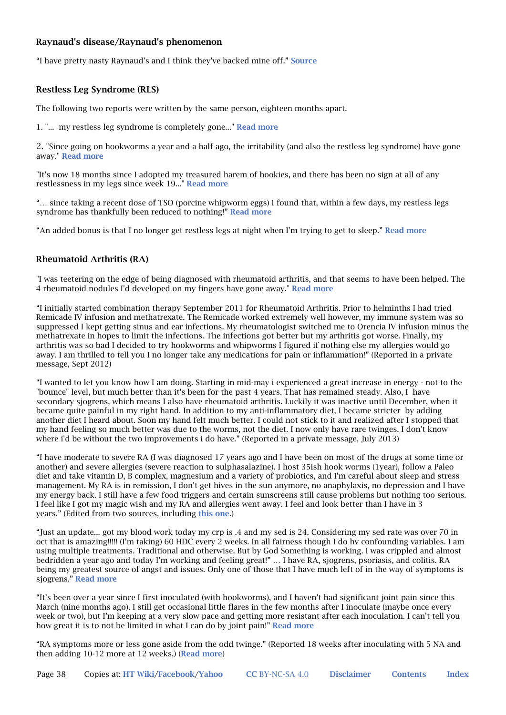### Raynaud's disease/Raynaud's phenomenon

"I have pretty nasty Raynaud's and I think they've backed mine off." Source

#### Restless Leg Syndrome (RLS)

The following two reports were written by the same person, eighteen months apart.

1. "... my restless leg syndrome is completely gone..." Read more

2. "Since going on hookworms a year and a half ago, the irritability (and also the restless leg syndrome) have gone away." Read more

"It's now 18 months since I adopted my treasured harem of hookies, and there has been no sign at all of any restlessness in my legs since week 19..." Read more

"… since taking a recent dose of TSO (porcine whipworm eggs) I found that, within a few days, my restless legs syndrome has thankfully been reduced to nothing!" Read more

"An added bonus is that I no longer get restless legs at night when I'm trying to get to sleep." Read more

#### Rheumatoid Arthritis (RA)

"I was teetering on the edge of being diagnosed with rheumatoid arthritis, and that seems to have been helped. The 4 rheumatoid nodules I'd developed on my fingers have gone away." Read more

"I initially started combination therapy September 2011 for Rheumatoid Arthritis. Prior to helminths I had tried Remicade IV infusion and methatrexate. The Remicade worked extremely well however, my immune system was so suppressed I kept getting sinus and ear infections. My rheumatologist switched me to Orencia IV infusion minus the methatrexate in hopes to limit the infections. The infections got better but my arthritis got worse. Finally, my arthritis was so bad I decided to try hookworms and whipworms I figured if nothing else my allergies would go away. I am thrilled to tell you I no longer take any medications for pain or inflammation!" (Reported in a private message, Sept 2012)

"I wanted to let you know how I am doing. Starting in mid-may i experienced a great increase in energy - not to the "bounce" level, but much better than it's been for the past 4 years. That has remained steady. Also, I have secondary sjogrens, which means I also have rheumatoid arthritis. Luckily it was inactive until December, when it became quite painful in my right hand. In addition to my anti-inflammatory diet, I became stricter by adding another diet I heard about. Soon my hand felt much better. I could not stick to it and realized after I stopped that my hand feeling so much better was due to the worms, not the diet. I now only have rare twinges. I don't know where i'd be without the two improvements i do have." (Reported in a private message, July 2013)

"I have moderate to severe RA (I was diagnosed 17 years ago and I have been on most of the drugs at some time or another) and severe allergies (severe reaction to sulphasalazine). I host 35ish hook worms (1year), follow a Paleo diet and take vitamin D, B complex, magnesium and a variety of probiotics, and I'm careful about sleep and stress management. My RA is in remission, I don't get hives in the sun anymore, no anaphylaxis, no depression and I have my energy back. I still have a few food triggers and certain sunscreens still cause problems but nothing too serious. I feel like I got my magic wish and my RA and allergies went away. I feel and look better than I have in 3 years." (Edited from two sources, including this one.)

"Just an update... got my blood work today my crp is .4 and my sed is 24. Considering my sed rate was over 70 in oct that is amazing!!!!! (I'm taking) 60 HDC every 2 weeks. In all fairness though I do hv confounding variables. I am using multiple treatments. Traditional and otherwise. But by God Something is working. I was crippled and almost bedridden a year ago and today I'm working and feeling great!" … I have RA, sjogrens, psoriasis, and colitis. RA being my greatest source of angst and issues. Only one of those that I have much left of in the way of symptoms is sjogrens." Read more

"It's been over a year since I first inoculated (with hookworms), and I haven't had significant joint pain since this March (nine months ago). I still get occasional little flares in the few months after I inoculate (maybe once every week or two), but I'm keeping at a very slow pace and getting more resistant after each inoculation. I can't tell you how great it is to not be limited in what I can do by joint pain!" Read more

"RA symptoms more or less gone aside from the odd twinge." (Reported 18 weeks after inoculating with 5 NA and then adding  $10-12$  more at  $12$  weeks.) (**Read more**)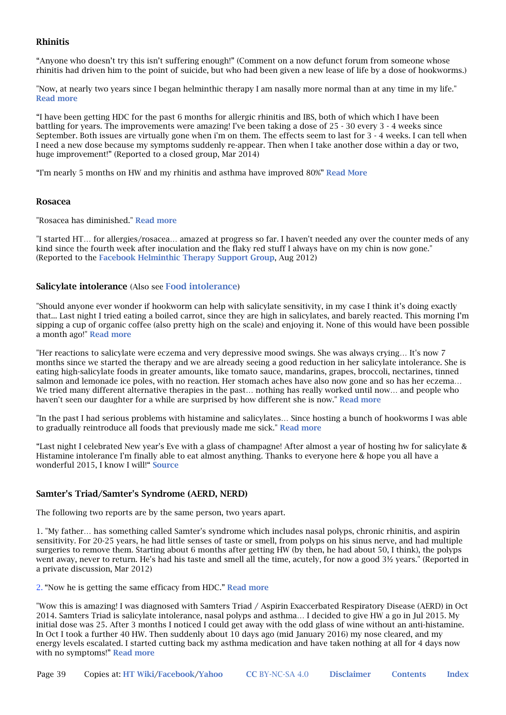### Rhinitis

"Anyone who doesn't try this isn't suffering enough!" (Comment on a now defunct forum from someone whose rhinitis had driven him to the point of suicide, but who had been given a new lease of life by a dose of hookworms.)

"Now, at nearly two years since I began helminthic therapy I am nasally more normal than at any time in my life." Read more

"I have been getting HDC for the past 6 months for allergic rhinitis and IBS, both of which which I have been battling for years. The improvements were amazing! I've been taking a dose of 25 - 30 every 3 - 4 weeks since September. Both issues are virtually gone when i'm on them. The effects seem to last for 3 - 4 weeks. I can tell when I need a new dose because my symptoms suddenly re-appear. Then when I take another dose within a day or two, huge improvement!" (Reported to a closed group, Mar 2014)

"I'm nearly 5 months on HW and my rhinitis and asthma have improved 80%" Read More

#### Rosacea

"Rosacea has diminished." Read more

"I started HT… for allergies/rosacea… amazed at progress so far. I haven't needed any over the counter meds of any kind since the fourth week after inoculation and the flaky red stuff I always have on my chin is now gone." (Reported to the Facebook Helminthic Therapy Support Group, Aug 2012)

#### Salicylate intolerance (Also see Food intolerance)

"Should anyone ever wonder if hookworm can help with salicylate sensitivity, in my case I think it's doing exactly that... Last night I tried eating a boiled carrot, since they are high in salicylates, and barely reacted. This morning I'm sipping a cup of organic coffee (also pretty high on the scale) and enjoying it. None of this would have been possible a month ago!" Read more

"Her reactions to salicylate were eczema and very depressive mood swings. She was always crying… It's now 7 months since we started the therapy and we are already seeing a good reduction in her salicylate intolerance. She is eating high-salicylate foods in greater amounts, like tomato sauce, mandarins, grapes, broccoli, nectarines, tinned salmon and lemonade ice poles, with no reaction. Her stomach aches have also now gone and so has her eczema… We tried many different alternative therapies in the past… nothing has really worked until now… and people who haven't seen our daughter for a while are surprised by how different she is now." Read more

"In the past I had serious problems with histamine and salicylates… Since hosting a bunch of hookworms I was able to gradually reintroduce all foods that previously made me sick." Read more

"Last night I celebrated New year's Eve with a glass of champagne! After almost a year of hosting hw for salicylate & Histamine intolerance I'm finally able to eat almost anything. Thanks to everyone here & hope you all have a wonderful 2015, I know I will!" Source

### Samter's Triad/Samter's Syndrome (AERD, NERD)

The following two reports are by the same person, two years apart.

1. "My father… has something called Samter's syndrome which includes nasal polyps, chronic rhinitis, and aspirin sensitivity. For 20-25 years, he had little senses of taste or smell, from polyps on his sinus nerve, and had multiple surgeries to remove them. Starting about 6 months after getting HW (by then, he had about 50, I think), the polyps went away, never to return. He's had his taste and smell all the time, acutely, for now a good 3½ years." (Reported in a private discussion, Mar 2012)

2. "Now he is getting the same efficacy from HDC." Read more

"Wow this is amazing! I was diagnosed with Samters Triad / Aspirin Exaccerbated Respiratory Disease (AERD) in Oct 2014. Samters Triad is salicylate intolerance, nasal polyps and asthma… I decided to give HW a go in Jul 2015. My initial dose was 25. After 3 months I noticed I could get away with the odd glass of wine without an anti-histamine. In Oct I took a further 40 HW. Then suddenly about 10 days ago (mid January 2016) my nose cleared, and my energy levels escalated. I started cutting back my asthma medication and have taken nothing at all for 4 days now with no symptoms!" Read more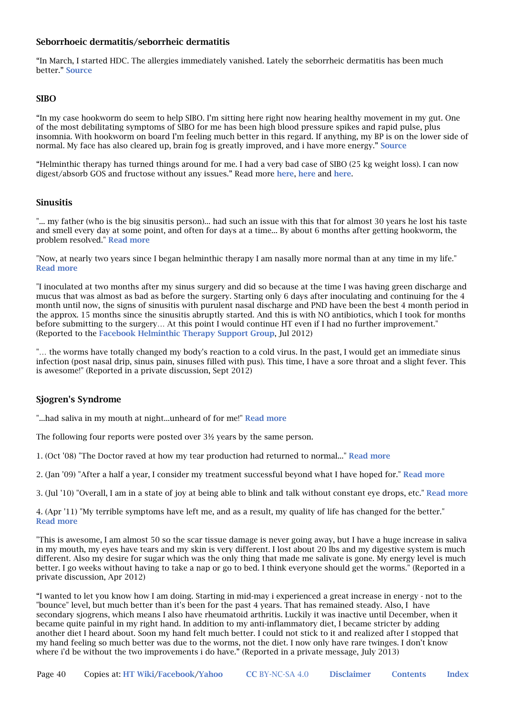### Seborrhoeic dermatitis/seborrheic dermatitis

"In March, I started HDC. The allergies immediately vanished. Lately the seborrheic dermatitis has been much better." Source

### SIBO

"In my case hookworm do seem to help SIBO. I'm sitting here right now hearing healthy movement in my gut. One of the most debilitating symptoms of SIBO for me has been high blood pressure spikes and rapid pulse, plus insomnia. With hookworm on board I'm feeling much better in this regard. If anything, my BP is on the lower side of normal. My face has also cleared up, brain fog is greatly improved, and i have more energy." Source

"Helminthic therapy has turned things around for me. I had a very bad case of SIBO (25 kg weight loss). I can now digest/absorb GOS and fructose without any issues." Read more here, here and here.

#### Sinusitis

"... my father (who is the big sinusitis person)... had such an issue with this that for almost 30 years he lost his taste and smell every day at some point, and often for days at a time... By about 6 months after getting hookworm, the problem resolved." Read more

"Now, at nearly two years since I began helminthic therapy I am nasally more normal than at any time in my life." Read more

"I inoculated at two months after my sinus surgery and did so because at the time I was having green discharge and mucus that was almost as bad as before the surgery. Starting only 6 days after inoculating and continuing for the 4 month until now, the signs of sinusitis with purulent nasal discharge and PND have been the best 4 month period in the approx. 15 months since the sinusitis abruptly started. And this is with NO antibiotics, which I took for months before submitting to the surgery… At this point I would continue HT even if I had no further improvement." (Reported to the Facebook Helminthic Therapy Support Group, Jul 2012)

"... the worms have totally changed my body's reaction to a cold virus. In the past, I would get an immediate sinus infection (post nasal drip, sinus pain, sinuses filled with pus). This time, I have a sore throat and a slight fever. This is awesome!" (Reported in a private discussion, Sept 2012)

### Sjogren's Syndrome

"...had saliva in my mouth at night...unheard of for me!" Read more

The following four reports were posted over 3½ years by the same person.

1. (Oct '08) "The Doctor raved at how my tear production had returned to normal..." Read more

2. (Jan '09) "After a half a year, I consider my treatment successful beyond what I have hoped for." Read more

3. (Jul '10) "Overall, I am in a state of joy at being able to blink and talk without constant eye drops, etc." Read more

4. (Apr '11) "My terrible symptoms have left me, and as a result, my quality of life has changed for the better." Read more

"This is awesome, I am almost 50 so the scar tissue damage is never going away, but I have a huge increase in saliva in my mouth, my eyes have tears and my skin is very different. I lost about 20 lbs and my digestive system is much different. Also my desire for sugar which was the only thing that made me salivate is gone. My energy level is much better. I go weeks without having to take a nap or go to bed. I think everyone should get the worms." (Reported in a private discussion, Apr 2012)

"I wanted to let you know how I am doing. Starting in mid-may i experienced a great increase in energy - not to the "bounce" level, but much better than it's been for the past 4 years. That has remained steady. Also, I have secondary sjogrens, which means I also have rheumatoid arthritis. Luckily it was inactive until December, when it became quite painful in my right hand. In addition to my anti-inflammatory diet, I became stricter by adding another diet I heard about. Soon my hand felt much better. I could not stick to it and realized after I stopped that my hand feeling so much better was due to the worms, not the diet. I now only have rare twinges. I don't know where i'd be without the two improvements i do have." (Reported in a private message, July 2013)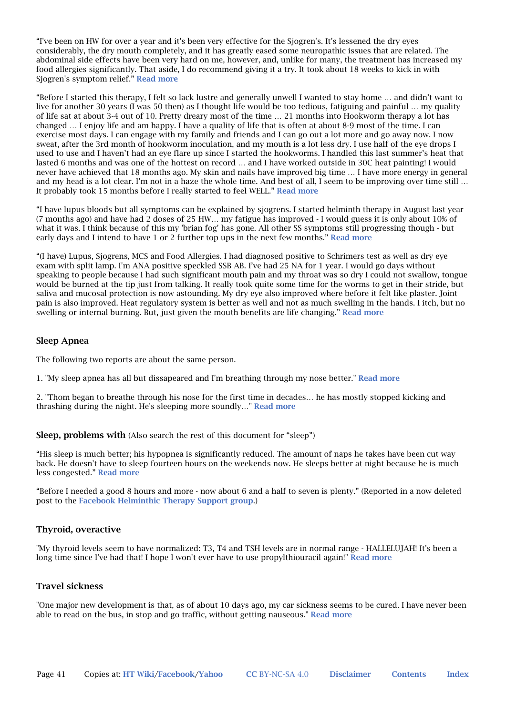"I've been on HW for over a year and it's been very effective for the Sjogren's. It's lessened the dry eyes considerably, the dry mouth completely, and it has greatly eased some neuropathic issues that are related. The abdominal side effects have been very hard on me, however, and, unlike for many, the treatment has increased my food allergies significantly. That aside, I do recommend giving it a try. It took about 18 weeks to kick in with Sjogren's symptom relief." Read more

"Before I started this therapy, I felt so lack lustre and generally unwell I wanted to stay home … and didn't want to live for another 30 years (I was 50 then) as I thought life would be too tedious, fatiguing and painful … my quality of life sat at about 3-4 out of 10. Pretty dreary most of the time … 21 months into Hookworm therapy a lot has changed … I enjoy life and am happy. I have a quality of life that is often at about 8-9 most of the time. I can exercise most days. I can engage with my family and friends and I can go out a lot more and go away now. I now sweat, after the 3rd month of hookworm inoculation, and my mouth is a lot less dry. I use half of the eye drops I used to use and I haven't had an eye flare up since I started the hookworms. I handled this last summer's heat that lasted 6 months and was one of the hottest on record … and I have worked outside in 30C heat painting! I would never have achieved that 18 months ago. My skin and nails have improved big time … I have more energy in general and my head is a lot clear. I'm not in a haze the whole time. And best of all, I seem to be improving over time still … It probably took 15 months before I really started to feel WELL." Read more

"I have lupus bloods but all symptoms can be explained by sjogrens. I started helminth therapy in August last year (7 months ago) and have had 2 doses of 25 HW… my fatigue has improved - I would guess it is only about 10% of what it was. I think because of this my 'brian fog' has gone. All other SS symptoms still progressing though - but early days and I intend to have 1 or 2 further top ups in the next few months." Read more

"(I have) Lupus, Sjogrens, MCS and Food Allergies. I had diagnosed positive to Schrimers test as well as dry eye exam with split lamp. I'm ANA positive speckled SSB AB. I've had 25 NA for 1 year. I would go days without speaking to people because I had such significant mouth pain and my throat was so dry I could not swallow, tongue would be burned at the tip just from talking. It really took quite some time for the worms to get in their stride, but saliva and mucosal protection is now astounding. My dry eye also improved where before it felt like plaster. Joint pain is also improved. Heat regulatory system is better as well and not as much swelling in the hands. I itch, but no swelling or internal burning. But, just given the mouth benefits are life changing." Read more

#### Sleep Apnea

The following two reports are about the same person.

1. "My sleep apnea has all but dissapeared and I'm breathing through my nose better." Read more

2. "Thom began to breathe through his nose for the first time in decades… he has mostly stopped kicking and thrashing during the night. He's sleeping more soundly…" Read more

#### Sleep, problems with (Also search the rest of this document for "sleep")

"His sleep is much better; his hypopnea is significantly reduced. The amount of naps he takes have been cut way back. He doesn't have to sleep fourteen hours on the weekends now. He sleeps better at night because he is much less congested." Read more

"Before I needed a good 8 hours and more - now about 6 and a half to seven is plenty." (Reported in a now deleted post to the Facebook Helminthic Therapy Support group.)

### Thyroid, overactive

"My thyroid levels seem to have normalized: T3, T4 and TSH levels are in normal range - HALLELUJAH! It's been a long time since I've had that! I hope I won't ever have to use propylthiouracil again!" Read more

#### Travel sickness

"One major new development is that, as of about 10 days ago, my car sickness seems to be cured. I have never been able to read on the bus, in stop and go traffic, without getting nauseous." Read more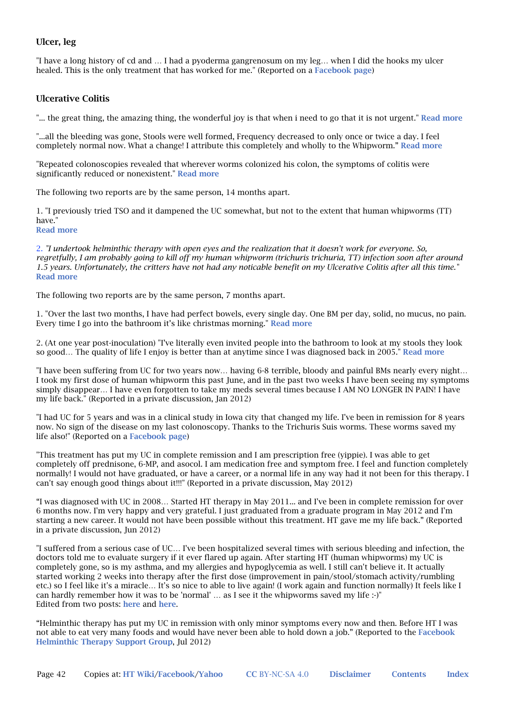### Ulcer, leg

"I have a long history of cd and … I had a pyoderma gangrenosum on my leg… when I did the hooks my ulcer healed. This is the only treatment that has worked for me." (Reported on a Facebook page)

#### Ulcerative Colitis

"... the great thing, the amazing thing, the wonderful joy is that when i need to go that it is not urgent." Read more

"...all the bleeding was gone, Stools were well formed, Frequency decreased to only once or twice a day. I feel completely normal now. What a change! I attribute this completely and wholly to the Whipworm." Read more

"Repeated colonoscopies revealed that wherever worms colonized his colon, the symptoms of colitis were significantly reduced or nonexistent." Read more

The following two reports are by the same person, 14 months apart.

1. "I previously tried TSO and it dampened the UC somewhat, but not to the extent that human whipworms (TT) have." Read more

2. *"I undertook helminthic therapy with open eyes and the realization that it doesn't work for everyone. So, regretfully, I am probably going to kill off my human whipworm (trichuris trichuria, TT) infection soon after around 1.5 years. Unfortunately, the critters have not had any noticable benefit on my Ulcerative Colitis after all this time."* Read more

The following two reports are by the same person, 7 months apart.

1. "Over the last two months, I have had perfect bowels, every single day. One BM per day, solid, no mucus, no pain. Every time I go into the bathroom it's like christmas morning." Read more

2. (At one year post-inoculation) "I've literally even invited people into the bathroom to look at my stools they look so good... The quality of life I enjoy is better than at anytime since I was diagnosed back in 2005." Read more

"I have been suffering from UC for two years now… having 6-8 terrible, bloody and painful BMs nearly every night… I took my first dose of human whipworm this past June, and in the past two weeks I have been seeing my symptoms simply disappear… I have even forgotten to take my meds several times because I AM NO LONGER IN PAIN! I have my life back." (Reported in a private discussion, Jan 2012)

"I had UC for 5 years and was in a clinical study in Iowa city that changed my life. I've been in remission for 8 years now. No sign of the disease on my last colonoscopy. Thanks to the Trichuris Suis worms. These worms saved my life also!" (Reported on a Facebook page)

"This treatment has put my UC in complete remission and I am prescription free (yippie). I was able to get completely off prednisone, 6-MP, and asocol. I am medication free and symptom free. I feel and function completely normally! I would not have graduated, or have a career, or a normal life in any way had it not been for this therapy. I can't say enough good things about it!!!" (Reported in a private discussion, May 2012)

"I was diagnosed with UC in 2008… Started HT therapy in May 2011... and I've been in complete remission for over 6 months now. I'm very happy and very grateful. I just graduated from a graduate program in May 2012 and I'm starting a new career. It would not have been possible without this treatment. HT gave me my life back." (Reported in a private discussion, Jun 2012)

"I suffered from a serious case of UC… I've been hospitalized several times with serious bleeding and infection, the doctors told me to evaluate surgery if it ever flared up again. After starting HT (human whipworms) my UC is completely gone, so is my asthma, and my allergies and hypoglycemia as well. I still can't believe it. It actually started working 2 weeks into therapy after the first dose (improvement in pain/stool/stomach activity/rumbling etc.) so I feel like it's a miracle… It's so nice to able to live again! (I work again and function normally) It feels like I can hardly remember how it was to be 'normal' … as I see it the whipworms saved my life :-)" Edited from two posts: here and here.

"Helminthic therapy has put my UC in remission with only minor symptoms every now and then. Before HT I was not able to eat very many foods and would have never been able to hold down a job." (Reported to the Facebook Helminthic Therapy Support Group, Jul 2012)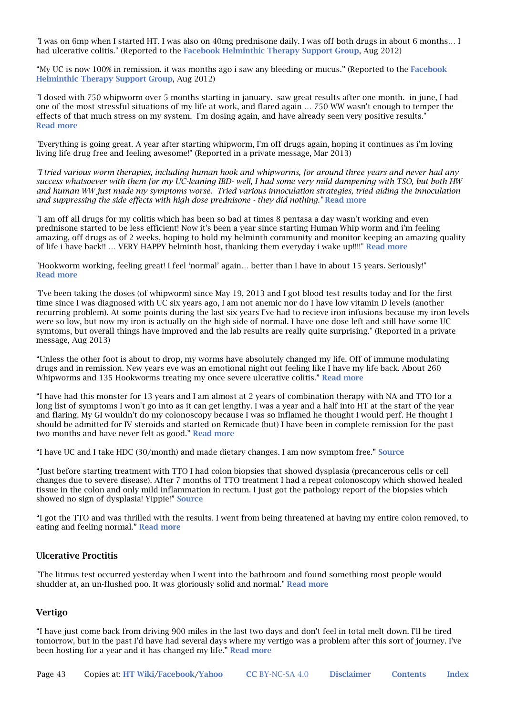"I was on 6mp when I started HT. I was also on 40mg prednisone daily. I was off both drugs in about 6 months… I had ulcerative colitis." (Reported to the Facebook Helminthic Therapy Support Group, Aug 2012)

"My UC is now 100% in remission. it was months ago i saw any bleeding or mucus." (Reported to the Facebook Helminthic Therapy Support Group, Aug 2012)

"I dosed with 750 whipworm over 5 months starting in january. saw great results after one month. in june, I had one of the most stressful situations of my life at work, and flared again … 750 WW wasn't enough to temper the effects of that much stress on my system. I'm dosing again, and have already seen very positive results." Read more

"Everything is going great. A year after starting whipworm, I'm off drugs again, hoping it continues as i'm loving living life drug free and feeling awesome!" (Reported in a private message, Mar 2013)

*"I tried various worm therapies, including human hook and whipworms, for around three years and never had any success whatsoever with them for my UC-leaning IBD- well, I had some very mild dampening with TSO, but both HW and human WW just made my symptoms worse. Tried various innoculation strategies, tried aiding the innoculation*  and suppressing the side effects with high dose prednisone - they did nothing." **Read more** 

"I am off all drugs for my colitis which has been so bad at times 8 pentasa a day wasn't working and even prednisone started to be less efficient! Now it's been a year since starting Human Whip worm and i'm feeling amazing, off drugs as of 2 weeks, hoping to hold my helminth community and monitor keeping an amazing quality of life i have back!! … VERY HAPPY helminth host, thanking them everyday i wake up!!!!" Read more

"Hookworm working, feeling great! I feel 'normal' again… better than I have in about 15 years. Seriously!" Read more

"I've been taking the doses (of whipworm) since May 19, 2013 and I got blood test results today and for the first time since I was diagnosed with UC six years ago, I am not anemic nor do I have low vitamin D levels (another recurring problem). At some points during the last six years I've had to recieve iron infusions because my iron levels were so low, but now my iron is actually on the high side of normal. I have one dose left and still have some UC symtoms, but overall things have improved and the lab results are really quite surprising." (Reported in a private message, Aug 2013)

"Unless the other foot is about to drop, my worms have absolutely changed my life. Off of immune modulating drugs and in remission. New years eve was an emotional night out feeling like I have my life back. About 260 Whipworms and 135 Hookworms treating my once severe ulcerative colitis." Read more

"I have had this monster for 13 years and I am almost at 2 years of combination therapy with NA and TTO for a long list of symptoms I won't go into as it can get lengthy. I was a year and a half into HT at the start of the year and flaring. My GI wouldn't do my colonoscopy because I was so inflamed he thought I would perf. He thought I should be admitted for IV steroids and started on Remicade (but) I have been in complete remission for the past two months and have never felt as good." Read more

"I have UC and I take HDC (30/month) and made dietary changes. I am now symptom free." Source

"Just before starting treatment with TTO I had colon biopsies that showed dysplasia (precancerous cells or cell changes due to severe disease). After 7 months of TTO treatment I had a repeat colonoscopy which showed healed tissue in the colon and only mild inflammation in rectum. I just got the pathology report of the biopsies which showed no sign of dysplasia! Yippie!" Source

"I got the TTO and was thrilled with the results. I went from being threatened at having my entire colon removed, to eating and feeling normal." Read more

### Ulcerative Proctitis

"The litmus test occurred yesterday when I went into the bathroom and found something most people would shudder at, an un-flushed poo. It was gloriously solid and normal." Read more

### Vertigo

"I have just come back from driving 900 miles in the last two days and don't feel in total melt down. I'll be tired tomorrow, but in the past I'd have had several days where my vertigo was a problem after this sort of journey. I've been hosting for a year and it has changed my life." Read more